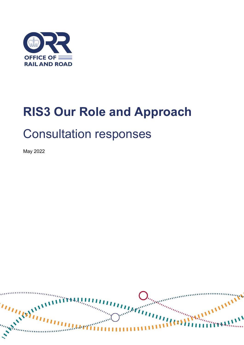

# **RIS3 Our Role and Approach** Consultation responses

May 2022

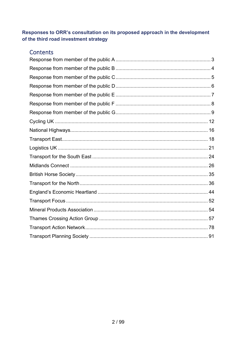## Responses to ORR's consultation on its proposed approach in the development of the third road investment strategy

## **Contents**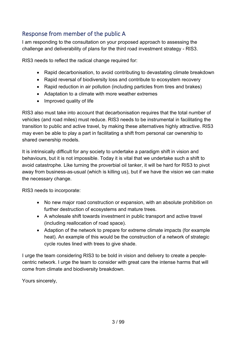# <span id="page-2-0"></span>Response from member of the public A

I am responding to the consultation on your proposed approach to assessing the challenge and deliverability of plans for the third road investment strategy - RIS3.

RIS3 needs to reflect the radical change required for:

- Rapid decarbonisation, to avoid contributing to devastating climate breakdown
- Rapid reversal of biodiversity loss and contribute to ecosystem recovery
- Rapid reduction in air pollution (including particles from tires and brakes)
- Adaptation to a climate with more weather extremes
- Improved quality of life

RIS3 also must take into account that decarbonisation requires that the total number of vehicles (and road miles) must reduce. RIS3 needs to be instrumental in facilitating the transition to public and active travel, by making these alternatives highly attractive. RIS3 may even be able to play a part in facilitating a shift from personal car ownership to shared ownership models.

It is intrinsically difficult for any society to undertake a paradigm shift in vision and behaviours, but it is not impossible. Today it is vital that we undertake such a shift to avoid catastrophe. Like turning the proverbial oil tanker, it will be hard for RIS3 to pivot away from business-as-usual (which is killing us), but if we have the vision we can make the necessary change.

RIS3 needs to incorporate:

- No new major road construction or expansion, with an absolute prohibition on further destruction of ecosystems and mature trees.
- A wholesale shift towards investment in public transport and active travel (including reallocation of road space).
- Adaption of the network to prepare for extreme climate impacts (for example heat). An example of this would be the construction of a network of strategic cycle routes lined with trees to give shade.

I urge the team considering RIS3 to be bold in vision and delivery to create a peoplecentric network. I urge the team to consider with great care the intense harms that will come from climate and biodiversity breakdown.

Yours sincerely,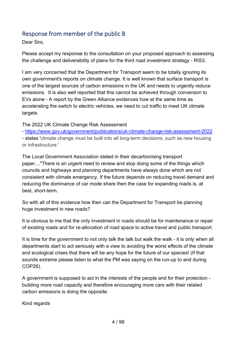## <span id="page-3-0"></span>Response from member of the public B

Dear Sirs,

Please accept my response to the consultation on your proposed approach to assessing the challenge and deliverability of plans for the third road investment strategy - RIS3.

I am very concerned that the Department for Transport seem to be totally ignoring its own government's reports on climate change. It is well known that surface transport is one of the largest sources of carbon emissions in the UK and needs to urgently reduce emissions. It is also well reported that this cannot be achieved through conversion to EVs alone - A report by the Green Alliance evidences how at the same time as accelerating the switch to electric vehicles, we need to cut traffic to meet UK climate targets.

The 2022 UK Climate Change Risk Assessment

- [https://www.gov.uk/government/publications/uk-climate-change-risk-assessment-2022](https://protect-eu.mimecast.com/s/e0GMCANYmhNGvNrFGWmz2?domain=gov.uk)

- states 'climate change must be built into all long-term decisions, such as new housing or infrastructure.'

The Local Government Association stated in their decarbonising transport paper...."There is an urgent need to review and stop doing some of the things which councils and highways and planning departments have always done which are not consistent with climate emergency. If the future depends on reducing travel demand and reducing the dominance of car mode share then the case for expanding roads is, at best, short-term.

So with all of this evidence how then can the Department for Transport be planning huge investment in new roads?

It is obvious to me that the only investment in roads should be for maintenance or repair of existing roads and for re-allocation of road space to active travel and public transport.

It is time for the government to not only talk the talk but walk the walk - it is only when all departments start to act seriously with a view to avoiding the worst effects of the climate and ecological crises that there will be any hope for the future of our species! (If that sounds extreme please listen to what the PM was saying on the run-up to and during COP26).

A government is supposed to act in the interests of the people and for their protection building more road capacity and therefore encouraging more cars with their related carbon emissions is doing the opposite.

Kind regards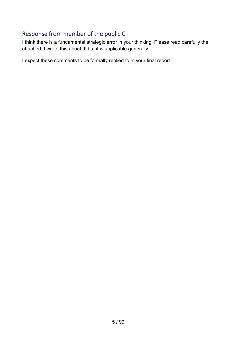# <span id="page-4-0"></span>Response from member of the public C

I think there is a fundamental strategic error in your thinking. Please read carefully the attached. I wrote this about tfl but it is applicable generally.

I expect these comments to be formally replied to in your final report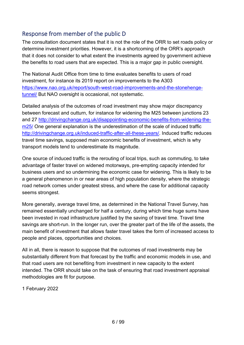# <span id="page-5-0"></span>Response from member of the public D

The consultation document states that it is not the role of the ORR to set roads policy or determine investment priorities. However, it is a shortcoming of the ORR's approach that it does not consider to what extent the investments agreed by government achieve the benefits to road users that are expected. This is a major gap in public oversight.

The National Audit Office from time to time evaluates benefits to users of road investment, for instance its 2019 report on improvements to the A303 [https://www.nao.org.uk/report/south-west-road-improvements-and-the-stonehenge](https://www.nao.org.uk/report/south-west-road-improvements-and-the-stonehenge-tunnel/)[tunnel/](https://www.nao.org.uk/report/south-west-road-improvements-and-the-stonehenge-tunnel/) But NAO oversight is occasional, not systematic.

Detailed analysis of the outcomes of road investment may show major discrepancy between forecast and outturn, for instance for widening the M25 between junctions 23 and 27 [http://drivingchange.org.uk/disappointing-economic-benefits-from-widening-the](http://drivingchange.org.uk/disappointing-economic-benefits-from-widening-the-m25/)m<sub>25</sub>/ One general explanation is the underestimation of the scale of induced traffic [http://drivingchange.org.uk/induced-traffic-after-all-these-years/.](http://drivingchange.org.uk/induced-traffic-after-all-these-years/) Induced traffic reduces travel time savings, supposed main economic benefits of investment, which is why transport models tend to underestimate its magnitude.

One source of induced traffic is the rerouting of local trips, such as commuting, to take advantage of faster travel on widened motorways, pre-empting capacity intended for business users and so undermining the economic case for widening. This is likely to be a general phenomenon in or near areas of high population density, where the strategic road network comes under greatest stress, and where the case for additional capacity seems strongest.

More generally, average travel time, as determined in the National Travel Survey, has remained essentially unchanged for half a century, during which time huge sums have been invested in road infrastructure justified by the saving of travel time. Travel time savings are short-run. In the longer run, over the greater part of the life of the assets, the main benefit of investment that allows faster travel takes the form of increased access to people and places, opportunities and choices.

All in all, there is reason to suppose that the outcomes of road investments may be substantially different from that forecast by the traffic and economic models in use, and that road users are not benefiting from investment in new capacity to the extent intended. The ORR should take on the task of ensuring that road investment appraisal methodologies are fit for purpose.

1 February 2022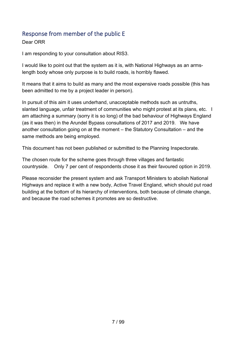## <span id="page-6-0"></span>Response from member of the public E

Dear ORR

I am responding to your consultation about RIS3.

I would like to point out that the system as it is, with National Highways as an armslength body whose only purpose is to build roads, is horribly flawed.

It means that it aims to build as many and the most expensive roads possible (this has been admitted to me by a project leader in person).

In pursuit of this aim it uses underhand, unacceptable methods such as untruths, slanted language, unfair treatment of communities who might protest at its plans, etc. I am attaching a summary (sorry it is so long) of the bad behaviour of Highways England (as it was then) in the Arundel Bypass consultations of 2017 and 2019. We have another consultation going on at the moment – the Statutory Consultation – and the same methods are being employed.

This document has not been published or submitted to the Planning Inspectorate.

The chosen route for the scheme goes through three villages and fantastic countryside. Only 7 per cent of respondents chose it as their favoured option in 2019.

Please reconsider the present system and ask Transport Ministers to abolish National Highways and replace it with a new body, Active Travel England, which should put road building at the bottom of its hierarchy of interventions, both because of climate change, and because the road schemes it promotes are so destructive.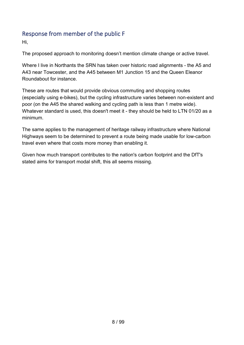## <span id="page-7-0"></span>Response from member of the public F

Hi,

The proposed approach to monitoring doesn't mention climate change or active travel.

Where I live in Northants the SRN has taken over historic road alignments - the A5 and A43 near Towcester, and the A45 between M1 Junction 15 and the Queen Eleanor Roundabout for instance.

These are routes that would provide obvious commuting and shopping routes (especially using e-bikes), but the cycling infrastructure varies between non-existent and poor (on the A45 the shared walking and cycling path is less than 1 metre wide). Whatever standard is used, this doesn't meet it - they should be held to LTN 01/20 as a minimum.

The same applies to the management of heritage railway infrastructure where National Highways seem to be determined to prevent a route being made usable for low-carbon travel even where that costs more money than enabling it.

Given how much transport contributes to the nation's carbon footprint and the DfT's stated aims for transport modal shift, this all seems missing.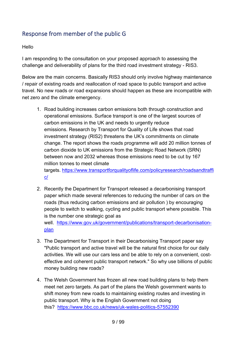# <span id="page-8-0"></span>Response from member of the public G

#### Hello

I am responding to the consultation on your proposed approach to assessing the challenge and deliverability of plans for the third road investment strategy - RIS3.

Below are the main concerns. Basically RIS3 should only involve highway maintenance / repair of existing roads and reallocation of road space to public transport and active travel. No new roads or road expansions should happen as these are incompatible with net zero and the climate emergency.

1. Road building increases carbon emissions both through construction and operational emissions. Surface transport is one of the largest sources of carbon emissions in the UK and needs to urgently reduce emissions. Research by Transport for Quality of Life shows that road investment strategy (RIS2) threatens the UK's commitments on climate change. The report shows the roads programme will add 20 million tonnes of carbon dioxide to UK emissions from the Strategic Road Network (SRN) between now and 2032 whereas those emissions need to be cut by 167 million tonnes to meet climate

targets. [https://www.transportforqualityoflife.com/policyresearch/roadsandtraffi](https://protect-eu.mimecast.com/s/nODrC6XA0FrZEW4FpsopN?domain=transportforqualityoflife.com/) [c/](https://protect-eu.mimecast.com/s/nODrC6XA0FrZEW4FpsopN?domain=transportforqualityoflife.com/) 

- 2. Recently the Department for Transport released a decarbonising transport paper which made several references to reducing the number of cars on the roads (thus reducing carbon emissions and air pollution ) by encouraging people to switch to walking, cycling and public transport where possible. This is the number one strategic goal as well. [https://www.gov.uk/government/publications/transport-decarbonisation](https://protect-eu.mimecast.com/s/PjJPC71BAHAnvRBfWKuEV?domain=gov.uk)[plan](https://protect-eu.mimecast.com/s/PjJPC71BAHAnvRBfWKuEV?domain=gov.uk)
- 3. The Department for Transport in their Decarbonising Transport paper say "Public transport and active travel will be the natural first choice for our daily activities. We will use our cars less and be able to rely on a convenient, costeffective and coherent public transport network." So why use billions of public money building new roads?
- 4. The Welsh Government has frozen all new road building plans to help them meet net zero targets. As part of the plans the Welsh government wants to shift money from new roads to maintaining existing routes and investing in public transport. Why is the English Government not doing this? [https://www.bbc.co.uk/news/uk-wales-politics-57552390](https://protect-eu.mimecast.com/s/sPVZC81D9H6BlkyC21QuQ?domain=bbc.co.uk)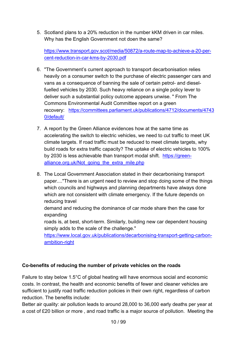5. Scotland plans to a 20% reduction in the number kKM driven in car miles. Why has the English Government not doen the same?

[https://www.transport.gov.scot/media/50872/a-route-map-to-achieve-a-20-per](https://protect-eu.mimecast.com/s/URKQC91E2HkrvOwiO2i63?domain=transport.gov.scot)[cent-reduction-in-car-kms-by-2030.pdf](https://protect-eu.mimecast.com/s/URKQC91E2HkrvOwiO2i63?domain=transport.gov.scot) 

- 6. "The Government's current approach to transport decarbonisation relies heavily on a consumer switch to the purchase of electric passenger cars and vans as a consequence of banning the sale of certain petrol- and dieselfuelled vehicles by 2030. Such heavy reliance on a single policy lever to deliver such a substantial policy outcome appears unwise. " From The Commons Environmental Audit Committee report on a green recovery: [https://committees.parliament.uk/publications/4712/documents/4743](https://protect-eu.mimecast.com/s/i-AsC0Yr9hGYKyAiOoXpc?domain=committees.parliament.uk/) [0/default/](https://protect-eu.mimecast.com/s/i-AsC0Yr9hGYKyAiOoXpc?domain=committees.parliament.uk/)
- 7. A report by the Green Alliance evidences how at the same time as accelerating the switch to electric vehicles, we need to cut traffic to meet UK climate targets. If road traffic must be reduced to meet climate targets, why build roads for extra traffic capacity? The uptake of electric vehicles to 100% by 2030 is less achievable than transport modal shift. [https://green](https://protect-eu.mimecast.com/s/RpJ9CgZ9kFA4rBzf7Dgrm?domain=green-alliance.org.uk)[alliance.org.uk/Not\\_going\\_the\\_extra\\_mile.php](https://protect-eu.mimecast.com/s/RpJ9CgZ9kFA4rBzf7Dgrm?domain=green-alliance.org.uk)
- 8. The Local Government Association stated in their decarbonising transport paper...."There is an urgent need to review and stop doing some of the things which councils and highways and planning departments have always done which are not consistent with climate emergency. If the future depends on reducing travel

demand and reducing the dominance of car mode share then the case for expanding

roads is, at best, short-term. Similarly, building new car dependent housing simply adds to the scale of the challenge."

[https://www.local.gov.uk/publications/decarbonising-transport-getting-carbon](https://protect-eu.mimecast.com/s/sHDcCjZ9nFnZ2OxFjbqHa?domain=local.gov.uk)[ambition-right](https://protect-eu.mimecast.com/s/sHDcCjZ9nFnZ2OxFjbqHa?domain=local.gov.uk) 

#### **Co-benefits of reducing the number of private vehicles on the roads**

Failure to stay below 1.5°C of global heating will have enormous social and economic costs. In contrast, the health and economic benefits of fewer and cleaner vehicles are sufficient to justify road traffic reduction policies in their own right, regardless of carbon reduction. The benefits include:

Better air quality: air pollution leads to around 28,000 to 36,000 early deaths per year at a cost of £20 billion or more , and road traffic is a major source of pollution. Meeting the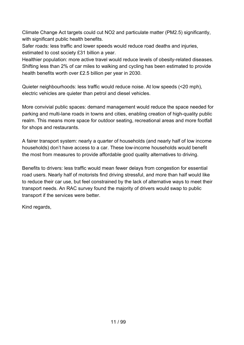Climate Change Act targets could cut NO2 and particulate matter (PM2.5) significantly, with significant public health benefits.

Safer roads: less traffic and lower speeds would reduce road deaths and injuries, estimated to cost society £31 billion a year.

Healthier population: more active travel would reduce levels of obesity-related diseases. Shifting less than 2% of car miles to walking and cycling has been estimated to provide health benefits worth over £2.5 billion per year in 2030.

Quieter neighbourhoods: less traffic would reduce noise. At low speeds (<20 mph), electric vehicles are quieter than petrol and diesel vehicles.

More convivial public spaces: demand management would reduce the space needed for parking and multi-lane roads in towns and cities, enabling creation of high-quality public realm. This means more space for outdoor seating, recreational areas and more footfall for shops and restaurants.

A fairer transport system: nearly a quarter of households (and nearly half of low income households) don't have access to a car. These low-income households would benefit the most from measures to provide affordable good quality alternatives to driving.

Benefits to drivers: less traffic would mean fewer delays from congestion for essential road users. Nearly half of motorists find driving stressful, and more than half would like to reduce their car use, but feel constrained by the lack of alternative ways to meet their transport needs. An RAC survey found the majority of drivers would swap to public transport if the services were better.

Kind regards,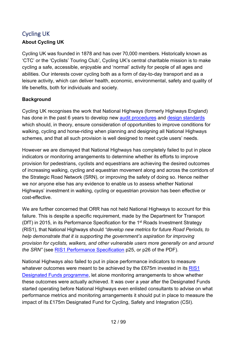# <span id="page-11-0"></span>Cycling UK **About Cycling UK**

Cycling UK was founded in 1878 and has over 70,000 members. Historically known as 'CTC' or the 'Cyclists' Touring Club', Cycling UK's central charitable mission is to make cycling a safe, accessible, enjoyable and 'normal' activity for people of all ages and abilities. Our interests cover cycling both as a form of day-to-day transport and as a leisure activity, which can deliver health, economic, environmental, safety and quality of life benefits, both for individuals and society.

#### **Background**

Cycling UK recognises the work that National Highways (formerly Highways England) has done in the past 6 years to develop new [audit procedures](https://www.standardsforhighways.co.uk/dmrb/search/5f33456d-32f9-4822-abf6-e12510f5c8dc) and [design standards](https://www.standardsforhighways.co.uk/dmrb/search/4b59ebc3-065b-467f-8b43-09d2802f91c8) which should, in theory, ensure consideration of opportunities to improve conditions for walking, cycling and horse-riding when planning and designing all National Highways schemes, and that all such provision is well designed to meet cycle users' needs.

However we are dismayed that National Highways has completely failed to put in place indicators or monitoring arrangements to determine whether its efforts to improve provision for pedestrians, cyclists and equestrians are achieving the desired outcomes of increasing walking, cycling and equestrian movement along and across the corridors of the Strategic Road Network (SRN), or improving the safety of doing so. Hence neither we nor anyone else has any evidence to enable us to assess whether National Highways' investment in walking, cycling or equestrian provision has been effective or cost-effective.

We are further concerned that ORR has not held National Highways to account for this failure. This is despite a specific requirement, made by the Department for Transport (DfT) in 2015, in its Performance Specification for the 1st Roads Investment Strategy (RIS1), that National Highways should *"develop new metrics for future Road Periods, to help demonstrate that it is supporting the government's aspiration for improving provision for cyclists, walkers, and other vulnerable users more generally on and around the SRN"* (see [RIS1 Performance Specification](https://assets.publishing.service.gov.uk/government/uploads/system/uploads/attachment_data/file/382814/dft-ris-performance-specification.pdf) p25, or p26 of the PDF).

National Highways also failed to put in place performance indicators to measure whatever outcomes were meant to be achieved by the £675m invested in its RIS1 [Designated Funds programme,](https://nationalhighways.co.uk/designated-funds/) let alone monitoring arrangements to show whether these outcomes were actually achieved. It was over a year after the Designated Funds started operating before National Highways even enlisted consultants to advise on what performance metrics and monitoring arrangements it should put in place to measure the impact of its £175m Designated Fund for Cycling, Safety and Integration (CSI).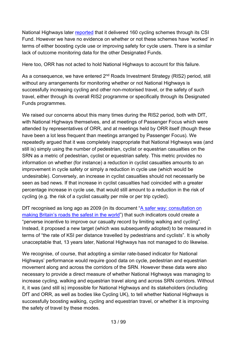National Highways later [reported](https://nationalhighways.co.uk/media/x5vfxwg1/df-ris1-review-summary-report_final_20210917.pdf) that it delivered 160 cycling schemes through its CSI Fund. However we have no evidence on whether or not these schemes have 'worked' in terms of either boosting cycle use or improving safety for cycle users. There is a similar lack of outcome monitoring data for the other Designated Funds.

Here too, ORR has not acted to hold National Highways to account for this failure.

As a consequence, we have entered 2<sup>nd</sup> Roads Investment Strategy (RIS2) period, still without any arrangements for monitoring whether or not National Highways is successfully increasing cycling and other non-motorised travel, or the safety of such travel, either through its overall RIS2 programme or specifically through its Designated Funds programmes.

We raised our concerns about this many times during the RIS2 period, both with DfT, with National Highways themselves, and at meetings of Passenger Focus which were attended by representatives of ORR, and at meetings held by ORR itself (though these have been a lot less frequent than meetings arranged by Passenger Focus). We repeatedly argued that it was completely inappropriate that National Highways was (and still is) simply using the number of pedestrian, cyclist or equestrian casualties on the SRN as a metric of pedestrian, cyclist or equestrian safety. This metric provides no information on whether (for instance) a reduction in cyclist casualties amounts to an improvement in cycle safety or simply a reduction in cycle use (which would be undesirable). Conversely, an increase in cyclist casualties should not necessarily be seen as bad news. If that increase in cyclist casualties had coincided with a greater percentage increase in cycle use, that would still amount to a reduction in the risk of cycling (e.g. the risk of a cyclist casualty per mile or per trip cycled).

DfT recognised as long ago as 2009 (in its document ["A safer way: consultation on](https://webarchive.nationalarchives.gov.uk/ukgwa/20100202185027/http:/www.dft.gov.uk/consultations/closed/roadsafetyconsultation/)  [making Britain's roads the safest in the world"](https://webarchive.nationalarchives.gov.uk/ukgwa/20100202185027/http:/www.dft.gov.uk/consultations/closed/roadsafetyconsultation/)) that such indicators could create a "perverse incentive to improve our casualty record by limiting walking and cycling". Instead, it proposed a new target (which was subsequently adopted) to be measured in terms of "the rate of KSI per distance travelled by pedestrians and cyclists". It is wholly unacceptable that, 13 years later, National Highways has not managed to do likewise.

We recognise, of course, that adopting a similar rate-based indicator for National Highways' performance would require good data on cycle, pedestrian and equestrian movement along and across the corridors of the SRN. However these data were also necessary to provide a direct measure of whether National Highways was managing to increase cycling, walking and equestrian travel along and across SRN corridors. Without it, it was (and still is) impossible for National Highways and its stakeholders (including DfT and ORR, as well as bodies like Cycling UK), to tell whether National Highways is successfully boosting walking, cycling and equestrian travel, or whether it is improving the safety of travel by these modes.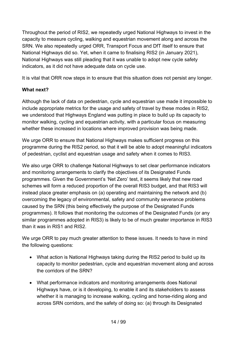Throughout the period of RIS2, we repeatedly urged National Highways to invest in the capacity to measure cycling, walking and equestrian movement along and across the SRN. We also repeatedly urged ORR, Transport Focus and DfT itself to ensure that National Highways did so. Yet, when it came to finalising RIS2 (in January 2021), National Highways was still pleading that it was unable to adopt new cycle safety indicators, as it did not have adequate data on cycle use.

It is vital that ORR now steps in to ensure that this situation does not persist any longer.

## **What next?**

Although the lack of data on pedestrian, cycle and equestrian use made it impossible to include appropriate metrics for the usage and safety of travel by these modes in RIS2, we understood that Highways England was putting in place to build up its capacity to monitor walking, cycling and equestrian activity, with a particular focus on measuring whether these increased in locations where improved provision was being made.

We urge ORR to ensure that National Highways makes sufficient progress on this programme during the RIS2 period, so that it will be able to adopt meaningful indicators of pedestrian, cyclist and equestrian usage and safety when it comes to RIS3.

We also urge ORR to challenge National Highways to set clear performance indicators and monitoring arrangements to clarify the objectives of its Designated Funds programmes. Given the Government's 'Net Zero' test, it seems likely that new road schemes will form a reduced proportion of the overall RIS3 budget, and that RIS3 will instead place greater emphasis on (a) operating and maintaining the network and (b) overcoming the legacy of environmental, safety and community severance problems caused by the SRN (this being effectively the purpose of the Designated Funds programmes). It follows that monitoring the outcomes of the Designated Funds (or any similar programmes adopted in RIS3) is likely to be of much greater importance in RIS3 than it was in RIS1 and RIS2.

We urge ORR to pay much greater attention to these issues. It needs to have in mind the following questions:

- What action is National Highways taking during the RIS2 period to build up its capacity to monitor pedestrian, cycle and equestrian movement along and across the corridors of the SRN?
- What performance indicators and monitoring arrangements does National Highways have, or is it developing, to enable it and its stakeholders to assess whether it is managing to increase walking, cycling and horse-riding along and across SRN corridors, and the safety of doing so: (a) through its Designated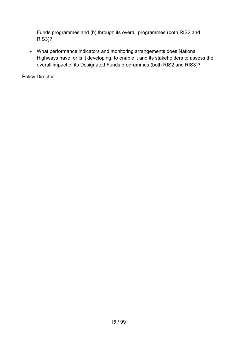Funds programmes and (b) through its overall programmes (both RIS2 and RIS3)?

• What performance indicators and monitoring arrangements does National Highways have, or is it developing, to enable it and its stakeholders to assess the overall impact of its Designated Funds programmes (both RIS2 and RIS3)?

Policy Director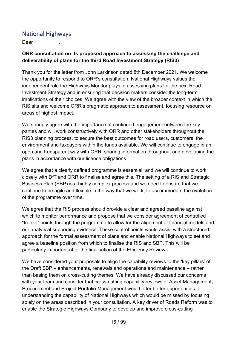## <span id="page-15-0"></span>National Highways

Dear ,

#### **ORR consultation on its proposed approach to assessing the challenge and deliverability of plans for the third Road Investment Strategy (RIS3)**

Thank you for the letter from John Larkinson dated 8th December 2021. We welcome the opportunity to respond to ORR's consultation. National Highways values the independent role the Highways Monitor plays in assessing plans for the next Road Investment Strategy and in ensuring that decision makers consider the long-term implications of their choices. We agree with the view of the broader context in which the RIS sits and welcome ORR's pragmatic approach to assessment, focusing resource on areas of highest impact.

We strongly agree with the importance of continued engagement between the key parties and will work constructively with ORR and other stakeholders throughout the RIS3 planning process, to secure the best outcomes for road users, customers, the environment and taxpayers within the funds available. We will continue to engage in an open and transparent way with ORR, sharing information throughout and developing the plans in accordance with our licence obligations.

We agree that a clearly defined programme is essential, and we will continue to work closely with DfT and ORR to finalise and agree this. The setting of a RIS and Strategic Business Plan (SBP) is a highly complex process and we need to ensure that we continue to be agile and flexible in the way that we work, to accommodate the evolution of the programme over time.

We agree that the RIS process should provide a clear and agreed baseline against which to monitor performance and propose that we consider agreement of controlled "freeze" points through the programme to allow for the alignment of financial models and our analytical supporting evidence. These control points would assist with a structured approach for the formal assessment of plans and enable National Highways to set and agree a baseline position from which to finalise the RIS and SBP. This will be particularly important after the finalisation of the Efficiency Review

We have considered your proposals to align the capability reviews to the 'key pillars' of the Draft SBP – enhancements, renewals and operations and maintenance – rather than basing them on cross-cutting themes. We have already discussed our concerns with your team and consider that cross-cutting capability reviews of Asset Management, Procurement and Project Portfolio Management would offer better opportunities to understanding the capability of National Highways which would be missed by focusing solely on the areas described in your consultation. A key driver of Roads Reform was to enable the Strategic Highways Company to develop and improve cross-cutting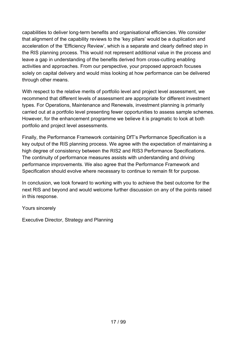capabilities to deliver long-term benefits and organisational efficiencies. We consider that alignment of the capability reviews to the 'key pillars' would be a duplication and acceleration of the 'Efficiency Review', which is a separate and clearly defined step in the RIS planning process. This would not represent additional value in the process and leave a gap in understanding of the benefits derived from cross-cutting enabling activities and approaches. From our perspective, your proposed approach focuses solely on capital delivery and would miss looking at how performance can be delivered through other means.

With respect to the relative merits of portfolio level and project level assessment, we recommend that different levels of assessment are appropriate for different investment types. For Operations, Maintenance and Renewals, investment planning is primarily carried out at a portfolio level presenting fewer opportunities to assess sample schemes. However, for the enhancement programme we believe it is pragmatic to look at both portfolio and project level assessments.

Finally, the Performance Framework containing DfT's Performance Specification is a key output of the RIS planning process. We agree with the expectation of maintaining a high degree of consistency between the RIS2 and RIS3 Performance Specifications. The continuity of performance measures assists with understanding and driving performance improvements. We also agree that the Performance Framework and Specification should evolve where necessary to continue to remain fit for purpose.

In conclusion, we look forward to working with you to achieve the best outcome for the next RIS and beyond and would welcome further discussion on any of the points raised in this response.

Yours sincerely

Executive Director, Strategy and Planning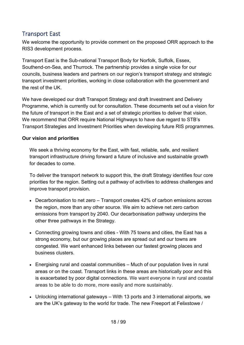## <span id="page-17-0"></span>Transport East

We welcome the opportunity to provide comment on the proposed ORR approach to the RIS3 development process.

Transport East is the Sub-national Transport Body for Norfolk, Suffolk, Essex, Southend-on-Sea, and Thurrock. The partnership provides a single voice for our councils, business leaders and partners on our region's transport strategy and strategic transport investment priorities, working in close collaboration with the government and the rest of the UK.

We have developed our draft Transport Strategy and draft Investment and Delivery Programme, which is currently out for consultation. These documents set out a vision for the future of transport in the East and a set of strategic priorities to deliver that vision. We recommend that ORR require National Highways to have due regard to STB's Transport Strategies and Investment Priorities when developing future RIS programmes.

#### **Our vision and priorities**

We seek a thriving economy for the East, with fast, reliable, safe, and resilient transport infrastructure driving forward a future of inclusive and sustainable growth for decades to come.

To deliver the transport network to support this, the draft Strategy identifies four core priorities for the region. Setting out a pathway of activities to address challenges and improve transport provision.

- Decarbonisation to net zero Transport creates 42% of carbon emissions across the region, more than any other source. We aim to achieve net zero carbon emissions from transport by 2040. Our decarbonisation pathway underpins the other three pathways in the Strategy.
- Connecting growing towns and cities With 75 towns and cities, the East has a strong economy, but our growing places are spread out and our towns are congested. We want enhanced links between our fastest growing places and business clusters.
- Energising rural and coastal communities Much of our population lives in rural areas or on the coast. Transport links in these areas are historically poor and this is exacerbated by poor digital connections. We want everyone in rural and coastal areas to be able to do more, more easily and more sustainably.
- Unlocking international gateways With 13 ports and 3 international airports, we are the UK's gateway to the world for trade. The new Freeport at Felixstowe /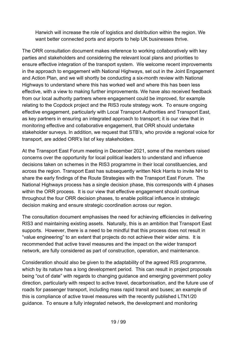Harwich will increase the role of logistics and distribution within the region. We want better connected ports and airports to help UK businesses thrive.

The ORR consultation document makes reference to working collaboratively with key parties and stakeholders and considering the relevant local plans and priorities to ensure effective integration of the transport system. We welcome recent improvements in the approach to engagement with National Highways, set out in the Joint Engagement and Action Plan, and we will shortly be conducting a six-month review with National Highways to understand where this has worked well and where this has been less effective, with a view to making further improvements. We have also received feedback from our local authority partners where engagement could be improved, for example relating to the Copdock project and the RIS3 route strategy work. To ensure ongoing effective engagement, particularly with Local Transport Authorities and Transport East, as key partners in ensuring an integrated approach to transport; it is our view that in monitoring effective and collaborative engagement, that ORR should undertake stakeholder surveys. In addition, we request that STB's, who provide a regional voice for transport, are added ORR's list of key stakeholders.

At the Transport East Forum meeting in December 2021, some of the members raised concerns over the opportunity for local political leaders to understand and influence decisions taken on schemes in the RIS3 programme in their local constituencies, and across the region. Transport East has subsequently written Nick Harris to invite NH to share the early findings of the Route Strategies with the Transport East Forum. The National Highways process has a single decision phase, this corresponds with 4 phases within the ORR process. It is our view that effective engagement should continue throughout the four ORR decision phases, to enable political influence in strategic decision making and ensure strategic coordination across our region.

The consultation document emphasises the need for achieving efficiencies in delivering RIS3 and maintaining existing assets. Naturally, this is an ambition that Transport East supports. However, there is a need to be mindful that this process does not result in "value engineering" to an extent that projects do not achieve their wider aims. It is recommended that active travel measures and the impact on the wider transport network, are fully considered as part of construction, operation, and maintenance.

Consideration should also be given to the adaptability of the agreed RIS programme, which by its nature has a long development period. This can result in project proposals being "out of date" with regards to changing guidance and emerging government policy direction, particularly with respect to active travel, decarbonisation, and the future use of roads for passenger transport, including mass rapid transit and buses; an example of this is compliance of active travel measures with the recently published LTN1/20 guidance. To ensure a fully integrated network, the development and monitoring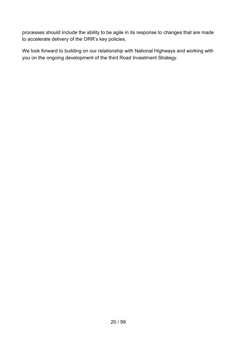processes should include the ability to be agile in its response to changes that are made to accelerate delivery of the ORR's key policies.

We look forward to building on our relationship with National Highways and working with you on the ongoing development of the third Road Investment Strategy.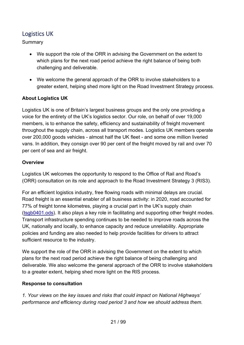# <span id="page-20-0"></span>Logistics UK

Summary

- We support the role of the ORR in advising the Government on the extent to which plans for the next road period achieve the right balance of being both challenging and deliverable.
- We welcome the general approach of the ORR to involve stakeholders to a greater extent, helping shed more light on the Road Investment Strategy process.

#### **About Logistics UK**

Logistics UK is one of Britain's largest business groups and the only one providing a voice for the entirety of the UK's logistics sector. Our role, on behalf of over 19,000 members, is to enhance the safety, efficiency and sustainability of freight movement throughout the supply chain, across all transport modes. Logistics UK members operate over 200,000 goods vehicles - almost half the UK fleet - and some one million liveried vans. In addition, they consign over 90 per cent of the freight moved by rail and over 70 per cent of sea and air freight.

#### **Overview**

Logistics UK welcomes the opportunity to respond to the Office of Rail and Road's (ORR) consultation on its role and approach to the Road Investment Strategy 3 (RIS3).

For an efficient logistics industry, free flowing roads with minimal delays are crucial. Road freight is an essential enabler of all business activity: in 2020, road accounted for 77% of freight tonne kilometres, playing a crucial part in the UK's supply chain [\(tsgb0401.ods\)](https://view.officeapps.live.com/op/view.aspx?src=https%3A%2F%2Fassets.publishing.service.gov.uk%2Fgovernment%2Fuploads%2Fsystem%2Fuploads%2Fattachment_data%2Ffile%2F1041072%2Ftsgb0401.ods&wdOrigin=BROWSELINK). It also plays a key role in facilitating and supporting other freight modes. Transport infrastructure spending continues to be needed to improve roads across the UK, nationally and locally, to enhance capacity and reduce unreliability. Appropriate policies and funding are also needed to help provide facilities for drivers to attract sufficient resource to the industry.

We support the role of the ORR in advising the Government on the extent to which plans for the next road period achieve the right balance of being challenging and deliverable. We also welcome the general approach of the ORR to involve stakeholders to a greater extent, helping shed more light on the RIS process.

#### **Response to consultation**

*1. Your views on the key issues and risks that could impact on National Highways' performance and efficiency during road period 3 and how we should address them.*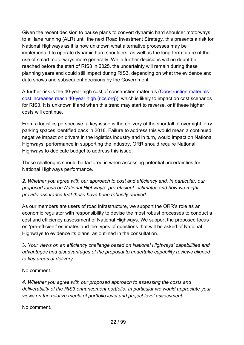Given the recent decision to pause plans to convert dynamic hard shoulder motorways to all lane running (ALR) until the next Road Investment Strategy, this presents a risk for National Highways as it is now unknown what alternative processes may be implemented to operate dynamic hard shoulders, as well as the long-term future of the use of smart motorways more generally. While further decisions will no doubt be reached before the start of RIS3 in 2025, the uncertainty will remain during these planning years and could still impact during RIS3, depending on what the evidence and data shows and subsequent decisions by the Government.

A further risk is the 40-year high cost of construction materials [\(Construction materials](https://www.rics.org/uk/news-insight/latest-news/news-opinion/construction-materials-cost-increases-reach-40-year-high/)  [cost increases reach 40-year high \(rics.org\)\)](https://www.rics.org/uk/news-insight/latest-news/news-opinion/construction-materials-cost-increases-reach-40-year-high/), which is likely to impact on cost scenarios for RIS3. It is unknown if and when this trend may start to reverse, or if these higher costs will continue.

From a logistics perspective, a key issue is the delivery of the shortfall of overnight lorry parking spaces identified back in 2018. Failure to address this would mean a continued negative impact on drivers in the logistics industry and in turn, would impact on National Highways' performance in supporting the industry. ORR should require National Highways to dedicate budget to address this issue.

These challenges should be factored in when assessing potential uncertainties for National Highways performance.

*2. Whether you agree with our approach to cost and efficiency and, in particular, our proposed focus on National Highways' 'pre-efficient' estimates and how we might provide assurance that these have been robustly derived.*

As our members are users of road infrastructure, we support the ORR's role as an economic regulator with responsibility to devise the most robust processes to conduct a cost and efficiency assessment of National Highways. We support the proposed focus on 'pre-efficient' estimates and the types of questions that will be asked of National Highways to evidence its plans, as outlined in the consultation.

3. *Your views on an efficiency challenge based on National Highways' capabilities and advantages and disadvantages of the proposal to undertake capability reviews aligned to key areas of delivery*.

No comment.

*4. Whether you agree with our proposed approach to assessing the costs and deliverability of the RIS3 enhancement portfolio. In particular we would appreciate your views on the relative merits of portfolio level and project level assessment.* 

No comment.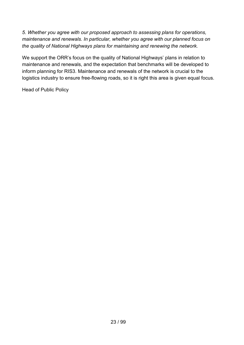*5. Whether you agree with our proposed approach to assessing plans for operations, maintenance and renewals. In particular, whether you agree with our planned focus on the quality of National Highways plans for maintaining and renewing the network.*

We support the ORR's focus on the quality of National Highways' plans in relation to maintenance and renewals, and the expectation that benchmarks will be developed to inform planning for RIS3. Maintenance and renewals of the network is crucial to the logistics industry to ensure free-flowing roads, so it is right this area is given equal focus.

Head of Public Policy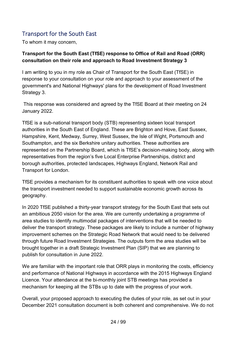# <span id="page-23-0"></span>Transport for the South East

To whom it may concern,

#### **Transport for the South East (TfSE) response to Office of Rail and Road (ORR) consultation on their role and approach to Road Investment Strategy 3**

I am writing to you in my role as Chair of Transport for the South East (TfSE) in response to your consultation on your role and approach to your assessment of the government's and National Highways' plans for the development of Road Investment Strategy 3.

This response was considered and agreed by the TfSE Board at their meeting on 24 January 2022.

TfSE is a sub-national transport body (STB) representing sixteen local transport authorities in the South East of England. These are Brighton and Hove, East Sussex, Hampshire, Kent, Medway, Surrey, West Sussex, the Isle of Wight, Portsmouth and Southampton, and the six Berkshire unitary authorities. These authorities are represented on the Partnership Board, which is TfSE's decision-making body, along with representatives from the region's five Local Enterprise Partnerships, district and borough authorities, protected landscapes, Highways England, Network Rail and Transport for London.

TfSE provides a mechanism for its constituent authorities to speak with one voice about the transport investment needed to support sustainable economic growth across its geography.

In 2020 TfSE published a thirty-year transport strategy for the South East that sets out an ambitious 2050 vision for the area. We are currently undertaking a programme of area studies to identify multimodal packages of interventions that will be needed to deliver the transport strategy. These packages are likely to include a number of highway improvement schemes on the Strategic Road Network that would need to be delivered through future Road Investment Strategies. The outputs form the area studies will be brought together in a draft Strategic Investment Plan (SIP) that we are planning to publish for consultation in June 2022.

We are familiar with the important role that ORR plays in monitoring the costs, efficiency and performance of National Highways in accordance with the 2015 Highways England Licence. Your attendance at the bi-monthly joint STB meetings has provided a mechanism for keeping all the STBs up to date with the progress of your work.

Overall, your proposed approach to executing the duties of your role, as set out in your December 2021 consultation document is both coherent and comprehensive. We do not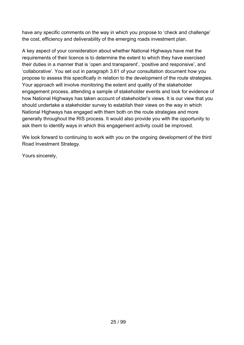have any specific comments on the way in which you propose to 'check and challenge' the cost, efficiency and deliverability of the emerging roads investment plan.

A key aspect of your consideration about whether National Highways have met the requirements of their licence is to determine the extent to which they have exercised their duties in a manner that is 'open and transparent', 'positive and responsive', and 'collaborative'. You set out in paragraph 3.61 of your consultation document how you propose to assess this specifically in relation to the development of the route strategies. Your approach will involve monitoring the extent and quality of the stakeholder engagement process, attending a sample of stakeholder events and look for evidence of how National Highways has taken account of stakeholder's views. It is our view that you should undertake a stakeholder survey to establish their views on the way in which National Highways has engaged with them both on the route strategies and more generally throughout the RIS process. It would also provide you with the opportunity to ask them to identify ways in which this engagement activity could be improved.

We look forward to continuing to work with you on the ongoing development of the third Road Investment Strategy.

Yours sincerely,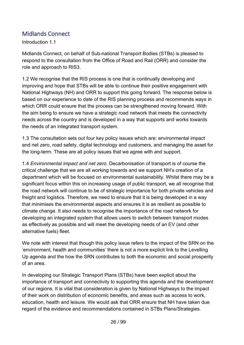## <span id="page-25-0"></span>Midlands Connect

Introduction 1.1

Midlands Connect, on behalf of Sub-national Transport Bodies (STBs) is pleased to respond to the consultation from the Office of Road and Rail (ORR) and consider the role and approach to RIS3.

1.2 We recognise that the RIS process is one that is continually developing and improving and hope that STBs will be able to continue their positive engagement with National Highways (NH) and ORR to support this going forward. The response below is based on our experience to date of the RIS planning process and recommends ways in which ORR could ensure that the process can be strengthened moving forward. With the aim being to ensure we have a strategic road network that meets the connectivity needs across the country and is developed in a way that supports and works towards the needs of an integrated transport system.

1.3 The consultation sets out four key policy issues which are: environmental impact and net zero, road safety, digital technology and customers, and managing the asset for the long-term. These are all policy issues that we agree with and support.

1.4 *Environmental impact and net zero*. Decarbonisation of transport is of course the critical challenge that we are all working towards and we support NH's creation of a department which will be focused on environmental sustainability. Whilst there may be a significant focus within this on increasing usage of public transport, we all recognise that the road network will continue to be of strategic importance for both private vehicles and freight and logistics. Therefore, we need to ensure that it is being developed in a way that minimises the environmental aspects and ensures it is as resilient as possible to climate change. It also needs to recognise the importance of the road network for developing an integrated system that allows users to switch between transport modes as effectively as possible and will meet the developing needs of an EV (and other alternative fuels) fleet.

We note with interest that though this policy issue refers to the impact of the SRN on the 'environment, health and communities' there is not a more explicit link to the Levelling Up agenda and the how the SRN contributes to both the economic and social prosperity of an area.

In developing our Strategic Transport Plans (STBs) have been explicit about the importance of transport and connectivity to supporting this agenda and the development of our regions. It is vital that consideration is given by National Highways to the impact of their work on distribution of economic benefits, and areas such as access to work, education, health and leisure. We would ask that ORR ensure that NH have taken due regard of the evidence and recommendations contained in STBs Plans/Strategies.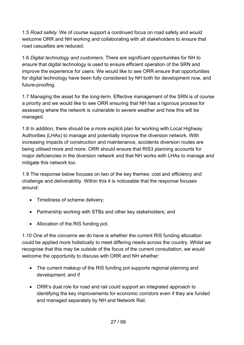1.5 *Road safety*. We of course support a continued focus on road safety and would welcome ORR and NH working and collaborating with all stakeholders to ensure that road casualties are reduced.

1.6 *Digital technology and customers*. There are significant opportunities for NH to ensure that digital technology is used to ensure efficient operation of the SRN and improve the experience for users. We would like to see ORR ensure that opportunities for digital technology have been fully considered by NH both for development now, and future-proofing.

1.7 Managing the asset for the long-term. Effective management of the SRN is of course a priority and we would like to see ORR ensuring that NH has a rigorous process for assessing where the network is vulnerable to severe weather and how this will be managed.

1.8 In addition, there should be a more explicit plan for working with Local Highway Authorities (LHAs) to manage and potentially improve the diversion network. With increasing impacts of construction and maintenance, accidents diversion routes are being utilised more and more. ORR should ensure that RIS3 planning accounts for major deficiencies in the diversion network and that NH works with LHAs to manage and mitigate this network too.

1.9 The response below focuses on two of the key themes: cost and efficiency and challenge and deliverability. Within this it is noticeable that the response focuses around:

- Timeliness of scheme delivery;
- Partnership working with STBs and other key stakeholders; and
- Allocation of the RIS funding pot.

1.10 One of the concerns we do have is whether the current RIS funding allocation could be applied more holistically to meet differing needs across the country. Whilst we recognise that this may be outside of the focus of the current consultation, we would welcome the opportunity to discuss with ORR and NH whether:

- The current makeup of the RIS funding pot supports regional planning and development; and if
- ORR's dual role for road and rail could support an integrated approach to identifying the key improvements for economic corridors even if they are funded and managed separately by NH and Network Rail.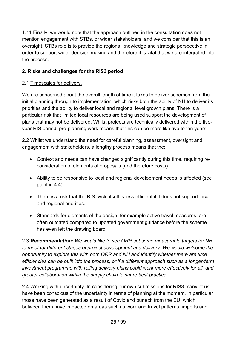1.11 Finally, we would note that the approach outlined in the consultation does not mention engagement with STBs, or wider stakeholders, and we consider that this is an oversight. STBs role is to provide the regional knowledge and strategic perspective in order to support wider decision making and therefore it is vital that we are integrated into the process.

#### **2. Risks and challenges for the RIS3 period**

#### 2.1 Timescales for delivery.

We are concerned about the overall length of time it takes to deliver schemes from the initial planning through to implementation, which risks both the ability of NH to deliver its priorities and the ability to deliver local and regional level growth plans. There is a particular risk that limited local resources are being used support the development of plans that may not be delivered. Whilst projects are technically delivered within the fiveyear RIS period, pre-planning work means that this can be more like five to ten years.

2.2 Whilst we understand the need for careful planning, assessment, oversight and engagement with stakeholders, a lengthy process means that the:

- Context and needs can have changed significantly during this time, requiring reconsideration of elements of proposals (and therefore costs).
- Ability to be responsive to local and regional development needs is affected (see point in 4.4).
- There is a risk that the RIS cycle itself is less efficient if it does not support local and regional priorities.
- Standards for elements of the design, for example active travel measures, are often outdated compared to updated government guidance before the scheme has even left the drawing board.

2.3 *Recommendation: We would like to see ORR set some measurable targets for NH to meet for different stages of project development and delivery. We would welcome the opportunity to explore this with both ORR and NH and identify whether there are time efficiencies can be built into the process, or if a different approach such as a longer-term investment programme with rolling delivery plans could work more effectively for all, and greater collaboration within the supply chain to share best practice.*

2.4 Working with uncertainty. In considering our own submissions for RIS3 many of us have been conscious of the uncertainty in terms of planning at the moment. In particular those have been generated as a result of Covid and our exit from the EU, which between them have impacted on areas such as work and travel patterns, imports and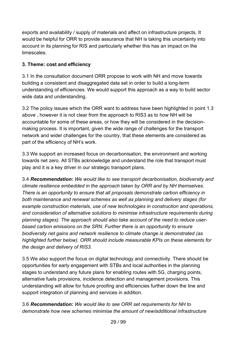exports and availability / supply of materials and affect on infrastructure projects. It would be helpful for ORR to provide assurance that NH is taking this uncertainty into account in its planning for RIS and particularly whether this has an impact on the timescales.

## **3. Theme: cost and efficiency**

3.1 In the consultation document ORR propose to work with NH and move towards building a consistent and disaggregated data set in order to build a long-term understanding of efficiencies. We would support this approach as a way to build sector wide data and understanding.

3.2 The policy issues which the ORR want to address have been highlighted in point 1.3 above , however it is not clear from the approach to RIS3 as to how NH will be accountable for some of these areas, or how they will be considered in the decisionmaking process. It is important, given the wide range of challenges for the transport network and wider challenges for the country, that these elements are considered as part of the efficiency of NH's work.

3.3 We support an increased focus on decarbonisation, the environment and working towards net zero. All STBs acknowledge and understand the role that transport must play and it is a key driver in our strategic transport plans.

3.4 *Recommendation: We would like to see transport decarbonisation, biodiversity and climate resilience embedded in the approach taken by ORR and by NH themselves. There is an opportunity to ensure that all proposals demonstrate carbon efficiency in both maintenance and renewal schemes as well as planning and delivery stages (for example construction materials, use of new technologies in construction and operations, and consideration of alternative solutions to minimise infrastructure requirements during planning stages). The approach should also take account of the need to reduce userbased carbon emissions on the SRN. Further there is an opportunity to ensure biodiversity net gains and network resilience to climate change is demonstrated (as highlighted further below). ORR should include measurable KPIs on these elements for the design and delivery of RIS3.*

3.5 We also support the focus on digital technology and connectivity. There should be opportunities for early engagement with STBs and local authorities in the planning stages to understand any future plans for enabling routes with 5G, charging points, alternative fuels provisions, incidence detection and management provisions. This understanding will allow for future proofing and efficiencies further down the line and support integration of planning and services in addition.

3.6 *Recommendation: We would like to see ORR set requirements for NH to demonstrate how new schemes minimise the amount of new/additional infrastructure*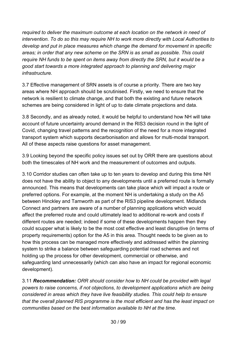*required to deliver the maximum outcome at each location on the network in need of intervention. To do so this may require NH to work more directly with Local Authorities to develop and put in place measures which change the demand for movement in specific areas; in order that any new scheme on the SRN is as small as possible. This could require NH funds to be spent on items away from directly the SRN, but it would be a good start towards a more integrated approach to planning and delivering major infrastructure.* 

3.7 Effective management of SRN assets is of course a priority. There are two key areas where NH approach should be scrutinised. Firstly, we need to ensure that the network is resilient to climate change, and that both the existing and future network schemes are being considered in light of up to date climate projections and data.

3.8 Secondly, and as already noted, it would be helpful to understand how NH will take account of future uncertainty around demand in the RIS3 decision round in the light of Covid, changing travel patterns and the recognition of the need for a more integrated transport system which supports decarbonisation and allows for multi-modal transport. All of these aspects raise questions for asset management.

3.9 Looking beyond the specific policy issues set out by ORR there are questions about both the timescales of NH work and the measurement of outcomes and outputs.

3.10 Corridor studies can often take up to ten years to develop and during this time NH does not have the ability to object to any developments until a preferred route is formally announced. This means that developments can take place which will impact a route or preferred options. For example, at the moment NH is undertaking a study on the A5 between Hinckley and Tamworth as part of the RIS3 pipeline development. Midlands Connect and partners are aware of a number of planning applications which would affect the preferred route and could ultimately lead to additional re-work and costs if different routes are needed; indeed if some of these developments happen then they could scupper what is likely to be the most cost effective and least disruptive (in terms of property requirements) option for the A5 in this area. Thought needs to be given as to how this process can be managed more effectively and addressed within the planning system to strike a balance between safeguarding potential road schemes and not holding up the process for other development, commercial or otherwise, and safeguarding land unnecessarily (which can also have an impact for regional economic development).

3.11 *Recommendation: ORR should consider how to NH could be provided with legal powers to raise concerns, if not objections, to development applications which are being considered in areas which they have live feasibility studies. This could help to ensure that the overall planned RIS programme is the most efficient and has the least impact on communities based on the best information available to NH at the time.*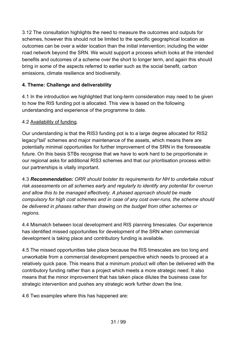3.12 The consultation highlights the need to measure the outcomes and outputs for schemes, however this should not be limited to the specific geographical location as outcomes can be over a wider location than the initial intervention; including the wider road network beyond the SRN. We would support a process which looks at the intended benefits and outcomes of a scheme over the short to longer term, and again this should bring in some of the aspects referred to earlier such as the social benefit, carbon emissions, climate resilience and biodiversity.

#### **4. Theme: Challenge and deliverability**

4.1 In the introduction we highlighted that long-term consideration may need to be given to how the RIS funding pot is allocated. This view is based on the following understanding and experience of the programme to date.

#### 4.2 Availability of funding.

Our understanding is that the RIS3 funding pot is to a large degree allocated for RIS2 legacy/'tail' schemes and major maintenance of the assets, which means there are potentially minimal opportunities for further improvement of the SRN in the foreseeable future. On this basis STBs recognise that we have to work hard to be proportionate in our regional asks for additional RIS3 schemes and that our prioritisation process within our partnerships is vitally important.

4.3 *Recommendation: ORR should bolster its requirements for NH to undertake robust risk assessments on all schemes early and regularly to identify any potential for overrun and allow this to be managed effectively. A phased approach should be made compulsory for high cost schemes and in case of any cost over-runs, the scheme should be delivered in phases rather than drawing on the budget from other schemes or regions.*

4.4 Mismatch between local development and RIS planning timescales. Our experience has identified missed opportunities for development of the SRN when commercial development is taking place and contributory funding is available.

4.5 The missed opportunities take place because the RIS timescales are too long and unworkable from a commercial development perspective which needs to proceed at a relatively quick pace. This means that a minimum product will often be delivered with the contributory funding rather than a project which meets a more strategic need. It also means that the minor improvement that has taken place dilutes the business case for strategic intervention and pushes any strategic work further down the line.

4.6 Two examples where this has happened are: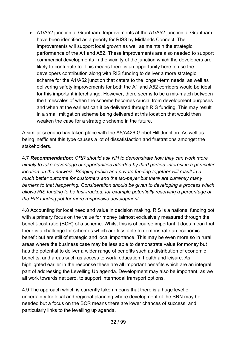• A1/A52 junction at Grantham. Improvements at the A1/A52 junction at Grantham have been identified as a priority for RIS3 by Midlands Connect. The improvements will support local growth as well as maintain the strategic performance of the A1 and A52. These improvements are also needed to support commercial developments in the vicinity of the junction which the developers are likely to contribute to. This means there is an opportunity here to use the developers contribution along with RIS funding to deliver a more strategic scheme for the A1/A52 junction that caters to the longer-term needs, as well as delivering safety improvements for both the A1 and A52 corridors would be ideal for this important interchange. However, there seems to be a mis-match between the timescales of when the scheme becomes crucial from development purposes and when at the earliest can it be delivered through RIS funding. This may result in a small mitigation scheme being delivered at this location that would then weaken the case for a strategic scheme in the future.

A similar scenario has taken place with the A5/A426 Gibbet Hill Junction. As well as being inefficient this type causes a lot of dissatisfaction and frustrations amongst the stakeholders.

4.7 *Recommendation: ORR should ask NH to demonstrate how they can work more nimbly to take advantage of opportunities afforded by third parties' interest in a particular location on the network. Bringing public and private funding together will result in a much better outcome for customers and the tax-payer but there are currently many barriers to that happening. Consideration should be given to developing a process which allows RIS funding to be fast-tracked, for example potentially reserving a percentage of the RIS funding pot for more responsive development.*

4.8 Accounting for local need and value in decision making. RIS is a national funding pot with a primary focus on the value for money (almost exclusively measured through the benefit-cost ratio (BCR) of a scheme. Whilst this is of course important it does mean that there is a challenge for schemes which are less able to demonstrate an economic benefit but are still of strategic and local importance. This may be even more so in rural areas where the business case may be less able to demonstrate value for money but has the potential to deliver a wider range of benefits such as distribution of economic benefits, and areas such as access to work, education, health and leisure. As highlighted earlier in the response these are all important benefits which are an integral part of addressing the Levelling Up agenda. Development may also be important, as we all work towards net zero, to support intermodal transport options.

4.9 The approach which is currently taken means that there is a huge level of uncertainty for local and regional planning where development of the SRN may be needed but a focus on the BCR means there are lower chances of success. and particularly links to the levelling up agenda.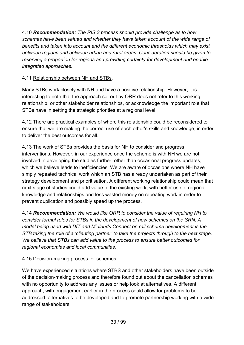4.10 *Recommendation: The RIS 3 process should provide challenge as to how schemes have been valued and whether they have taken account of the wide range of benefits and taken into account and the different economic thresholds which may exist between regions and between urban and rural areas. Consideration should be given to reserving a proportion for regions and providing certainty for development and enable integrated approaches.*

#### 4.11 Relationship between NH and STBs.

Many STBs work closely with NH and have a positive relationship. However, it is interesting to note that the approach set out by ORR does not refer to this working relationship, or other stakeholder relationships, or acknowledge the important role that STBs have in setting the strategic priorities at a regional level.

4.12 There are practical examples of where this relationship could be reconsidered to ensure that we are making the correct use of each other's skills and knowledge, in order to deliver the best outcomes for all.

4.13 The work of STBs provides the basis for NH to consider and progress interventions. However, in our experience once the scheme is with NH we are not involved in developing the studies further, other than occasional progress updates, which we believe leads to inefficiencies. We are aware of occasions where NH have simply repeated technical work which an STB has already undertaken as part of their strategy development and prioritisation. A different working relationship could mean that next stage of studies could add value to the existing work, with better use of regional knowledge and relationships and less wasted money on repeating work in order to prevent duplication and possibly speed up the process.

4.14 *Recommendation: We would like ORR to consider the value of requiring NH to consider formal roles for STBs in the development of new schemes on the SRN. A model being used with DfT and Midlands Connect on rail scheme development is the STB taking the role of a 'clienting partner' to take the projects through to the next stage. We believe that STBs can add value to the process to ensure better outcomes for regional economies and local communities.*

#### 4.15 Decision-making process for schemes.

We have experienced situations where STBS and other stakeholders have been outside of the decision-making process and therefore found out about the cancellation schemes with no opportunity to address any issues or help look at alternatives. A different approach, with engagement earlier in the process could allow for problems to be addressed, alternatives to be developed and to promote partnership working with a wide range of stakeholders.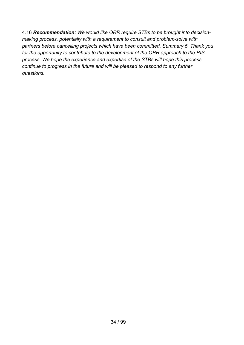4.16 *Recommendation: We would like ORR require STBs to be brought into decisionmaking process, potentially with a requirement to consult and problem-solve with partners before cancelling projects which have been committed. Summary 5. Thank you for the opportunity to contribute to the development of the ORR approach to the RIS process. We hope the experience and expertise of the STBs will hope this process continue to progress in the future and will be pleased to respond to any further questions.*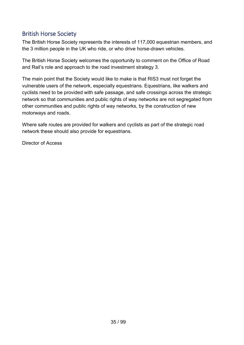## <span id="page-34-0"></span>British Horse Society

The British Horse Society represents the interests of 117,000 equestrian members, and the 3 million people in the UK who ride, or who drive horse-drawn vehicles.

The British Horse Society welcomes the opportunity to comment on the Office of Road and Rail's role and approach to the road investment strategy 3.

The main point that the Society would like to make is that RIS3 must not forget the vulnerable users of the network, especially equestrians. Equestrians, like walkers and cyclists need to be provided with safe passage, and safe crossings across the strategic network so that communities and public rights of way networks are not segregated from other communities and public rights of way networks, by the construction of new motorways and roads.

Where safe routes are provided for walkers and cyclists as part of the strategic road network these should also provide for equestrians.

Director of Access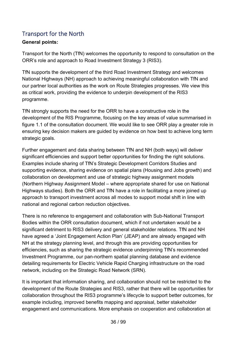# <span id="page-35-0"></span>Transport for the North

## **General points:**

Transport for the North (TfN) welcomes the opportunity to respond to consultation on the ORR's role and approach to Road Investment Strategy 3 (RIS3).

TfN supports the development of the third Road Investment Strategy and welcomes National Highways (NH) approach to achieving meaningful collaboration with TfN and our partner local authorities as the work on Route Strategies progresses. We view this as critical work, providing the evidence to underpin development of the RIS3 programme.

TfN strongly supports the need for the ORR to have a constructive role in the development of the RIS Programme, focusing on the key areas of value summarised in figure 1.1 of the consultation document. We would like to see ORR play a greater role in ensuring key decision makers are guided by evidence on how best to achieve long term strategic goals.

Further engagement and data sharing between TfN and NH (both ways) will deliver significant efficiencies and support better opportunities for finding the right solutions. Examples include sharing of TfN's Strategic Development Corridors Studies and supporting evidence, sharing evidence on spatial plans (Housing and Jobs growth) and collaboration on development and use of strategic highway assignment models (Northern Highway Assignment Model – where appropriate shared for use on National Highways studies). Both the ORR and TfN have a role in facilitating a more joined up approach to transport investment across all modes to support modal shift in line with national and regional carbon reduction objectives.

There is no reference to engagement and collaboration with Sub-National Transport Bodies within the ORR consultation document, which if not undertaken would be a significant detriment to RIS3 delivery and general stakeholder relations. TfN and NH have agreed a 'Joint Engagement Action Plan' (JEAP) and are already engaged with NH at the strategy planning level, and through this are providing opportunities for efficiencies, such as sharing the strategic evidence underpinning TfN's recommended Investment Programme, our pan-northern spatial planning database and evidence detailing requirements for Electric Vehicle Rapid Charging infrastructure on the road network, including on the Strategic Road Network (SRN).

It is important that information sharing, and collaboration should not be restricted to the development of the Route Strategies and RIS3, rather that there will be opportunities for collaboration throughout the RIS3 programme's lifecycle to support better outcomes, for example including, improved benefits mapping and appraisal, better stakeholder engagement and communications. More emphasis on cooperation and collaboration at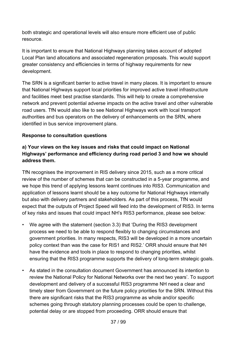both strategic and operational levels will also ensure more efficient use of public resource.

It is important to ensure that National Highways planning takes account of adopted Local Plan land allocations and associated regeneration proposals. This would support greater consistency and efficiencies in terms of highway requirements for new development.

The SRN is a significant barrier to active travel in many places. It is important to ensure that National Highways support local priorities for improved active travel infrastructure and facilities meet best practise standards. This will help to create a comprehensive network and prevent potential adverse impacts on the active travel and other vulnerable road users. TfN would also like to see National Highways work with local transport authorities and bus operators on the delivery of enhancements on the SRN, where identified in bus service improvement plans.

#### **Response to consultation questions**

## **a) Your views on the key issues and risks that could impact on National Highways' performance and efficiency during road period 3 and how we should address them.**

TfN recognises the improvement in RIS delivery since 2015, such as a more critical review of the number of schemes that can be constructed in a 5-year programme, and we hope this trend of applying lessons learnt continues into RIS3. Communication and application of lessons learnt should be a key outcome for National Highways internally but also with delivery partners and stakeholders. As part of this process, TfN would expect that the outputs of Project Speed will feed into the development of RIS3. In terms of key risks and issues that could impact NH's RIS3 performance, please see below:

- We agree with the statement (section 3.3) that 'During the RIS3 development process we need to be able to respond flexibly to changing circumstances and government priorities. In many respects, RIS3 will be developed in a more uncertain policy context than was the case for RIS1 and RIS2.' ORR should ensure that NH have the evidence and tools in place to respond to changing priorities, whilst ensuring that the RIS3 programme supports the delivery of long-term strategic goals.
- As stated in the consultation document Government has announced its intention to review the National Policy for National Networks over the next two years'. To support development and delivery of a successful RIS3 programme NH need a clear and timely steer from Government on the future policy priorities for the SRN. Without this there are significant risks that the RIS3 programme as whole and/or specific schemes going through statutory planning processes could be open to challenge, potential delay or are stopped from proceeding. ORR should ensure that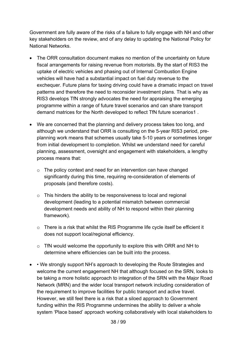Government are fully aware of the risks of a failure to fully engage with NH and other key stakeholders on the review, and of any delay to updating the National Policy for National Networks.

- The ORR consultation document makes no mention of the uncertainty on future fiscal arrangements for raising revenue from motorists. By the start of RIS3 the uptake of electric vehicles and phasing out of Internal Combustion Engine vehicles will have had a substantial impact on fuel duty revenue to the exchequer. Future plans for taxing driving could have a dramatic impact on travel patterns and therefore the need to reconsider investment plans. That is why as RIS3 develops TfN strongly advocates the need for appraising the emerging programme within a range of future travel scenarios and can share transport demand matrices for the North developed to reflect TfN future scenarios1 .
- We are concerned that the planning and delivery process takes too long, and although we understand that ORR is consulting on the 5-year RIS3 period, preplanning work means that schemes usually take 5-10 years or sometimes longer from initial development to completion. Whilst we understand need for careful planning, assessment, oversight and engagement with stakeholders, a lengthy process means that:
	- o The policy context and need for an intervention can have changed significantly during this time, requiring re-consideration of elements of proposals (and therefore costs).
	- o This hinders the ability to be responsiveness to local and regional development (leading to a potential mismatch between commercial development needs and ability of NH to respond within their planning framework).
	- o There is a risk that whilst the RIS Programme life cycle itself be efficient it does not support local/regional efficiency.
	- $\circ$  TfN would welcome the opportunity to explore this with ORR and NH to determine where efficiencies can be built into the process.
- • We strongly support NH's approach to developing the Route Strategies and welcome the current engagement NH that although focused on the SRN, looks to be taking a more holistic approach to integration of the SRN with the Major Road Network (MRN) and the wider local transport network including consideration of the requirement to improve facilities for public transport and active travel. However, we still feel there is a risk that a siloed approach to Government funding within the RIS Programme undermines the ability to deliver a whole system 'Place based' approach working collaboratively with local stakeholders to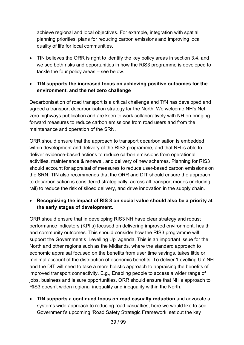achieve regional and local objectives. For example, integration with spatial planning priorities, plans for reducing carbon emissions and improving local quality of life for local communities.

- TfN believes the ORR is right to identify the key policy areas in section 3.4, and we see both risks and opportunities in how the RIS3 programme is developed to tackle the four policy areas – see below.
- **TfN supports the increased focus on achieving positive outcomes for the environment, and the net zero challenge**

Decarbonisation of road transport is a critical challenge and TfN has developed and agreed a transport decarbonisation strategy for the North. We welcome NH's Net zero highways publication and are keen to work collaboratively with NH on bringing forward measures to reduce carbon emissions from road users and from the maintenance and operation of the SRN.

ORR should ensure that the approach to transport decarbonisation is embedded within development and delivery of the RIS3 programme, and that NH is able to deliver evidence-based actions to reduce carbon emissions from operational activities, maintenance & renewal, and delivery of new schemes. Planning for RIS3 should account for appraisal of measures to reduce user-based carbon emissions on the SRN. TfN also recommends that the ORR and DfT should ensure the approach to decarbonisation is considered strategically, across all transport modes (including rail) to reduce the risk of siloed delivery, and drive innovation in the supply chain.

• **Recognising the impact of RIS 3 on social value should also be a priority at the early stages of development.**

ORR should ensure that in developing RIS3 NH have clear strategy and robust performance indicators (KPI's) focused on delivering improved environment, health and community outcomes. This should consider how the RIS3 programme will support the Government's 'Levelling Up' agenda. This is an important issue for the North and other regions such as the Midlands, where the standard approach to economic appraisal focused on the benefits from user time savings, takes little or minimal account of the distribution of economic benefits. To deliver 'Levelling Up' NH and the DfT will need to take a more holistic approach to appraising the benefits of improved transport connectivity. E.g., Enabling people to access a wider range of jobs, business and leisure opportunities. ORR should ensure that NH's approach to RIS3 doesn't widen regional inequality and inequality within the North.

• **TfN supports a continued focus on road casualty reduction** and advocate a systems wide approach to reducing road casualties, here we would like to see Government's upcoming 'Road Safety Strategic Framework' set out the key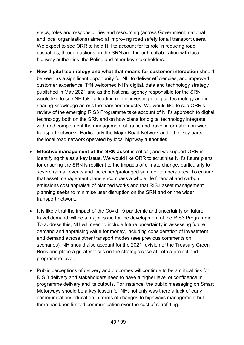steps, roles and responsibilities and resourcing (across Government, national and local organisations) aimed at improving road safety for all transport users. We expect to see ORR to hold NH to account for its role in reducing road casualties, through actions on the SRN and through collaboration with local highway authorities, the Police and other key stakeholders.

- **New digital technology and what that means for customer interaction** should be seen as a significant opportunity for NH to deliver efficiencies, and improved customer experience. TfN welcomed NH's digital, data and technology strategy published in May 2021 and as the National agency responsible for the SRN would like to see NH take a leading role in investing in digital technology and in sharing knowledge across the transport industry. We would like to see ORR's review of the emerging RIS3 Programme take account of NH's approach to digital technology both on the SRN and on how plans for digital technology integrate with and complement the management of traffic and travel information on wider transport networks. Particularly the Major Road Network and other key parts of the local road network operated by local highway authorities.
- **Effective management of the SRN asset** is critical, and we support ORR in identifying this as a key issue. We would like ORR to scrutinise NH's future plans for ensuring the SRN is resilient to the impacts of climate change, particularly to severe rainfall events and increased/prolonged summer temperatures. To ensure that asset management plans encompass a whole life financial and carbon emissions cost appraisal of planned works and that RIS3 asset management planning seeks to minimise user disruption on the SRN and on the wider transport network.
- It is likely that the impact of the Covid 19 pandemic and uncertainty on future travel demand will be a major issue for the development of the RIS3 Programme. To address this, NH will need to include future uncertainty in assessing future demand and appraising value for money, including consideration of investment and demand across other transport modes (see previous comments on scenarios). NH should also account for the 2021 revision of the Treasury Green Book and place a greater focus on the strategic case at both a project and programme level.
- Public perceptions of delivery and outcomes will continue to be a critical risk for RIS 3 delivery and stakeholders need to have a higher level of confidence in programme delivery and its outputs. For instance, the public messaging on Smart Motorways should be a key lesson for NH; not only was there a lack of early communication/ education in terms of changes to highways management but there has been limited communication over the cost of retrofitting.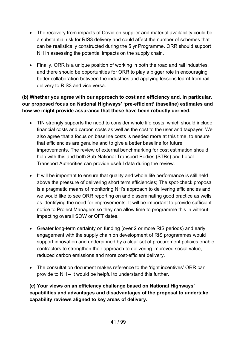- The recovery from impacts of Covid on supplier and material availability could be a substantial risk for RIS3 delivery and could affect the number of schemes that can be realistically constructed during the 5 yr Programme. ORR should support NH in assessing the potential impacts on the supply chain.
- Finally, ORR is a unique position of working in both the road and rail industries, and there should be opportunities for ORR to play a bigger role in encouraging better collaboration between the industries and applying lessons learnt from rail delivery to RIS3 and vice versa.

## **(b) Whether you agree with our approach to cost and efficiency and, in particular, our proposed focus on National Highways' 'pre-efficient' (baseline) estimates and how we might provide assurance that these have been robustly derived.**

- TfN strongly supports the need to consider whole life costs, which should include financial costs and carbon costs as well as the cost to the user and taxpayer. We also agree that a focus on baseline costs is needed more at this time, to ensure that efficiencies are genuine and to give a better baseline for future improvements. The review of external benchmarking for cost estimation should help with this and both Sub-National Transport Bodies (STBs) and Local Transport Authorities can provide useful data during the review.
- It will be important to ensure that quality and whole life performance is still held above the pressure of delivering short term efficiencies; The spot-check proposal is a pragmatic means of monitoring NH's approach to delivering efficiencies and we would like to see ORR reporting on and disseminating good practice as wells as identifying the need for improvements. It will be important to provide sufficient notice to Project Managers so they can allow time to programme this in without impacting overall SOW or OFT dates.
- Greater long-term certainty on funding (over 2 or more RIS periods) and early engagement with the supply chain on development of RIS programmes would support innovation and underpinned by a clear set of procurement policies enable contractors to strengthen their approach to delivering improved social value, reduced carbon emissions and more cost-efficient delivery.
- The consultation document makes reference to the 'right incentives' ORR can provide to NH – it would be helpful to understand this further.

**(c) Your views on an efficiency challenge based on National Highways' capabilities and advantages and disadvantages of the proposal to undertake capability reviews aligned to key areas of delivery.**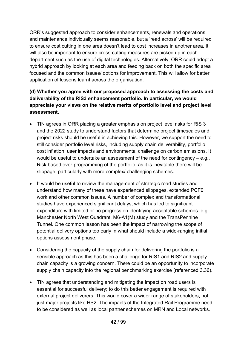ORR's suggested approach to consider enhancements, renewals and operations and maintenance individually seems reasonable, but a 'read across' will be required to ensure cost cutting in one area doesn't lead to cost increases in another area. It will also be important to ensure cross-cutting measures are picked up in each department such as the use of digital technologies. Alternatively, ORR could adopt a hybrid approach by looking at each area and feeding back on both the specific area focused and the common issues/ options for improvement. This will allow for better application of lessons learnt across the organisation.

## **(d) Whether you agree with our proposed approach to assessing the costs and deliverability of the RIS3 enhancement portfolio. In particular, we would appreciate your views on the relative merits of portfolio level and project level assessment.**

- TfN agrees in ORR placing a greater emphasis on project level risks for RIS 3 and the 2022 study to understand factors that determine project timescales and project risks should be useful in achieving this. However, we support the need to still consider portfolio level risks, including supply chain deliverability, portfolio cost inflation, user impacts and environmental challenge on carbon emissions. It would be useful to undertake an assessment of the need for contingency – e.g., Risk based over-programming of the portfolio, as it is inevitable there will be slippage, particularly with more complex/ challenging schemes.
- It would be useful to review the management of strategic road studies and understand how many of these have experienced slippages, extended PCF0 work and other common issues. A number of complex and transformational studies have experienced significant delays, which has led to significant expenditure with limited or no progress on identifying acceptable schemes. e.g. Manchester North West Quadrant. M6-A1(M) study and the TransPennine Tunnel. One common lesson has been the impact of narrowing the scope of potential delivery options too early in what should include a wide-ranging initial options assessment phase.
- Considering the capacity of the supply chain for delivering the portfolio is a sensible approach as this has been a challenge for RIS1 and RIS2 and supply chain capacity is a growing concern. There could be an opportunity to incorporate supply chain capacity into the regional benchmarking exercise (referenced 3.36).
- TfN agrees that understanding and mitigating the impact on road users is essential for successful delivery; to do this better engagement is required with external project deliverers. This would cover a wider range of stakeholders, not just major projects like HS2. The impacts of the Integrated Rail Programme need to be considered as well as local partner schemes on MRN and Local networks.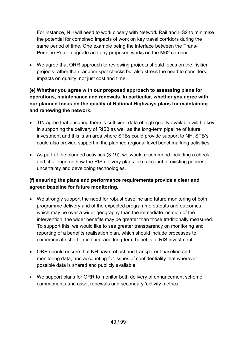For instance, NH will need to work closely with Network Rail and HS2 to minimise the potential for combined impacts of work on key travel corridors during the same period of time. One example being the interface between the Trans-Pennine Route upgrade and any proposed works on the M62 corridor.

• We agree that ORR approach to reviewing projects should focus on the 'riskier' projects rather than random spot checks but also stress the need to considers impacts on quality, not just cost and time.

## **(e) Whether you agree with our proposed approach to assessing plans for operations, maintenance and renewals. In particular, whether you agree with our planned focus on the quality of National Highways plans for maintaining and renewing the network.**

- TfN agree that ensuring there is sufficient data of high quality available will be key in supporting the delivery of RIS3 as well as the long-term pipeline of future investment and this is an area where STBs could provide support to NH. STB's could also provide support in the planned regional level benchmarking activities.
- As part of the planned activities (3.19), we would recommend including a check and challenge on how the RIS delivery plans take account of existing policies, uncertainty and developing technologies.

## **(f) ensuring the plans and performance requirements provide a clear and agreed baseline for future monitoring.**

- We strongly support the need for robust baseline and future monitoring of both programme delivery and of the expected programme outputs and outcomes, which may be over a wider geography than the immediate location of the intervention, the wider benefits may be greater than those traditionally measured. To support this, we would like to see greater transparency on monitoring and reporting of a benefits realisation plan, which should include processes to communicate short-, medium- and long-term benefits of RIS investment.
- ORR should ensure that NH have robust and transparent baseline and monitoring data, and accounting for issues of confidentiality that wherever possible data is shared and publicly available.
- We support plans for ORR to monitor both delivery of enhancement scheme commitments and asset renewals and secondary 'activity metrics.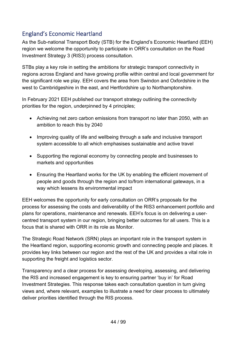## England's Economic Heartland

As the Sub-national Transport Body (STB) for the England's Economic Heartland (EEH) region we welcome the opportunity to participate in ORR's consultation on the Road Investment Strategy 3 (RIS3) process consultation.

STBs play a key role in setting the ambitions for strategic transport connectivity in regions across England and have growing profile within central and local government for the significant role we play. EEH covers the area from Swindon and Oxfordshire in the west to Cambridgeshire in the east, and Hertfordshire up to Northamptonshire.

In February 2021 EEH published our transport strategy outlining the connectivity priorities for the region, underpinned by 4 principles;

- Achieving net zero carbon emissions from transport no later than 2050, with an ambition to reach this by 2040
- Improving quality of life and wellbeing through a safe and inclusive transport system accessible to all which emphasises sustainable and active travel
- Supporting the regional economy by connecting people and businesses to markets and opportunities
- Ensuring the Heartland works for the UK by enabling the efficient movement of people and goods through the region and to/from international gateways, in a way which lessens its environmental impact

EEH welcomes the opportunity for early consultation on ORR's proposals for the process for assessing the costs and deliverability of the RIS3 enhancement portfolio and plans for operations, maintenance and renewals. EEH's focus is on delivering a usercentred transport system in our region, bringing better outcomes for all users. This is a focus that is shared with ORR in its role as Monitor.

The Strategic Road Network (SRN) plays an important role in the transport system in the Heartland region, supporting economic growth and connecting people and places. It provides key links between our region and the rest of the UK and provides a vital role in supporting the freight and logistics sector.

Transparency and a clear process for assessing developing, assessing, and delivering the RIS and increased engagement is key to ensuring partner 'buy in' for Road Investment Strategies. This response takes each consultation question in turn giving views and, where relevant, examples to illustrate a need for clear process to ultimately deliver priorities identified through the RIS process.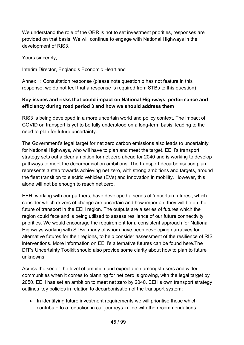We understand the role of the ORR is not to set investment priorities, responses are provided on that basis. We will continue to engage with National Highways in the development of RIS3.

Yours sincerely,

Interim Director, England's Economic Heartland

Annex 1: Consultation response (please note question b has not feature in this response, we do not feel that a response is required from STBs to this question)

#### **Key issues and risks that could impact on National Highways' performance and efficiency during road period 3 and how we should address them**

RIS3 is being developed in a more uncertain world and policy context. The impact of COVID on transport is yet to be fully understood on a long-term basis, leading to the need to plan for future uncertainty.

The Government's legal target for net zero carbon emissions also leads to uncertainty for National Highways, who will have to plan and meet the target. EEH's transport strategy sets out a clear ambition for net zero ahead for 2040 and is working to develop pathways to meet the decarbonisation ambitions. The transport decarbonisation plan represents a step towards achieving net zero, with strong ambitions and targets, around the fleet transition to electric vehicles (EVs) and innovation in mobility. However, this alone will not be enough to reach net zero.

EEH, working with our partners, have developed a series of 'uncertain futures', which consider which drivers of change are uncertain and how important they will be on the future of transport in the EEH region. The outputs are a series of futures which the region could face and is being utilised to assess resilience of our future connectivity priorities. We would encourage the requirement for a consistent approach for National Highways working with STBs, many of whom have been developing narratives for alternative futures for their regions, to help consider assessment of the resilience of RIS interventions. More information on EEH's alternative futures can be found here.The DfT's Uncertainty Toolkit should also provide some clarity about how to plan to future unknowns.

Across the sector the level of ambition and expectation amongst users and wider communities when it comes to planning for net zero is growing, with the legal target by 2050. EEH has set an ambition to meet net zero by 2040. EEH's own transport strategy outlines key policies in relation to decarbonisation of the transport system:

• In identifying future investment requirements we will prioritise those which contribute to a reduction in car journeys in line with the recommendations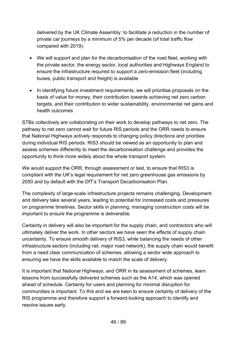delivered by the UK Climate Assembly: to facilitate a reduction in the number of private car journeys by a minimum of 5% per decade (of total traffic flow compared with 2019).

- We will support and plan for the decarbonisation of the road fleet, working with the private sector, the energy sector, local authorities and Highways England to ensure the infrastructure required to support a zero-emission fleet (including buses, public transport and freight) is available
- In identifying future investment requirements, we will prioritise proposals on the basis of value for money, their contribution towards achieving net zero carbon targets, and their contribution to wider sustainability, environmental net gains and health outcomes

STBs collectively are collaborating on their work to develop pathways to net zero. The pathway to net zero cannot wait for future RIS periods and the ORR needs to ensure that National Highways actively responds to changing policy directions and priorities during individual RIS periods. RIS3 should be viewed as an opportunity to plan and assess schemes differently to meet the decarbonisation challenge and provides the opportunity to think more widely about the whole transport system.

We would support the ORR, through assessment or test, to ensure that RIS3 is compliant with the UK's legal requirement for net zero greenhouse gas emissions by 2050 and by default with the DfT's Transport Decarbonisation Plan.

The complexity of large-scale infrastructure projects remains challenging. Development and delivery take several years, leading to potential for increased costs and pressures on programme timelines. Sector skills in planning, managing construction costs will be important to ensure the programme is deliverable.

Certainty in delivery will also be important for the supply chain, and contractors who will ultimately deliver the work. In other sectors we have seen the effects of supply chain uncertainty. To ensure smooth delivery of RIS3, while balancing the needs of other infrastructure sectors (including rail, major road network), the supply chain would benefit from a need clear communication of schemes, allowing a sector wide approach to ensuring we have the skills available to match the scale of delivery.

It is important that National Highways, and ORR in its assessment of schemes, learn lessons from successfully delivered schemes such as the A14, which was opened ahead of schedule. Certainty for users and planning for minimal disruption for communities is important. To this end we are keen to ensure certainty of delivery of the RIS programme and therefore support a forward-looking approach to identify and resolve issues early.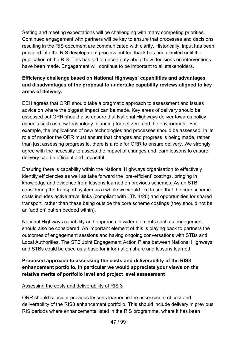Setting and meeting expectations will be challenging with many competing priorities. Continued engagement with partners will be key to ensure that processes and decisions resulting in the RIS document are communicated with clarity. Historically, input has been provided into the RIS development process but feedback has been limited until the publication of the RIS. This has led to uncertainty about how decisions on interventions have been made. Engagement will continue to be important to all stakeholders.

## **Efficiency challenge based on National Highways' capabilities and advantages and disadvantages of the proposal to undertake capability reviews aligned to key areas of delivery.**

EEH agrees that ORR should take a pragmatic approach to assessment and issues advice on where the biggest impact can be made. Key areas of delivery should be assessed but ORR should also ensure that National Highways deliver towards policy aspects such as new technology, planning for net zero and the environment. For example, the implications of new technologies and processes should be assessed. In its role of monitor the ORR must ensure that changes and progress is being made, rather than just assessing progress ie. there is a role for ORR to ensure delivery. We strongly agree with the necessity to assess the impact of changes and learn lessons to ensure delivery can be efficient and impactful.

Ensuring there is capability within the National Highways organisation to effectively identify efficiencies as well as take forward the 'pre-efficient' costings, bringing in knowledge and evidence from lessons learned on previous schemes. As an STB considering the transport system as a whole we would like to see that the core scheme costs includes active travel links (compliant with LTN 1/20) and opportunities for shared transport, rather than these being outside the core scheme costings (they should not be an 'add on' but embedded within).

National Highways capability and approach in wider elements such as engagement should also be considered. An important element of this is playing back to partners the outcomes of engagement sessions and having ongoing conversations with STBs and Local Authorities. The STB Joint Engagement Action Plans between National Highways and STBs could be used as a base for information share and lessons learned.

## **Proposed approach to assessing the costs and deliverability of the RIS3 enhancement portfolio. In particular we would appreciate your views on the relative merits of portfolio level and project level assessment**

#### Assessing the costs and deliverability of RIS 3

ORR should consider previous lessons learned in the assessment of cost and deliverability of the RIS3 enhancement portfolio. This should include delivery in previous RIS periods where enhancements listed in the RIS programme, where it has been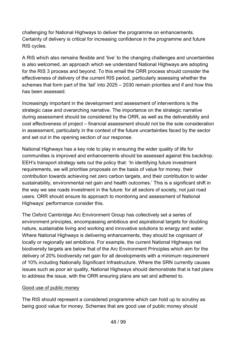challenging for National Highways to deliver the programme on enhancements. Certainty of delivery is critical for increasing confidence in the programme and future RIS cycles.

A RIS which also remains flexible and 'live' to the changing challenges and uncertainties is also welcomed, an approach which we understand National Highways are adopting for the RIS 3 process and beyond. To this email the ORR process should consider the effectiveness of delivery of the current RIS period, particularly assessing whether the schemes that form part of the 'tail' into 2025 – 2030 remain priorities and if and how this has been assessed.

Increasingly important in the development and assessment of interventions is the strategic case and overarching narrative. The importance on the strategic narrative during assessment should be considered by the ORR, as well as the deliverability and cost effectiveness of project – financial assessment should not be the sole consideration in assessment, particularly in the context of the future uncertainties faced by the sector and set out in the opening section of our response.

National Highways has a key role to play in ensuring the wider quality of life for communities is improved and enhancements should be assessed against this backdrop. EEH's transport strategy sets out the policy that: 'In identifying future investment requirements, we will prioritise proposals on the basis of value for money, their contribution towards achieving net zero carbon targets, and their contribution to wider sustainability, environmental net gain and health outcomes.' This is a significant shift in the way we see roads investment in the future: for all sectors of society, not just road users. ORR should ensure its approach to monitoring and assessment of National Highways' performance consider this.

The Oxford Cambridge Arc Environment Group has collectively set a series of environment principles, encompassing ambitious and aspirational targets for doubling nature, sustainable living and working and innovative solutions to energy and water. Where National Highways is delivering enhancements, they should be cognisant of locally or regionally set ambitions. For example, the current National Highways net biodiversity targets are below that of the Arc Environment Principles which aim for the delivery of 20% biodiversity net gain for all developments with a minimum requirement of 10% including Nationally Significant Infrastructure. Where the SRN currently causes issues such as poor air quality, National Highways should demonstrate that is had plans to address the issue, with the ORR ensuring plans are set and adhered to.

#### Good use of public money

The RIS should represent a considered programme which can hold up to scrutiny as being good value for money. Schemes that are good use of public money should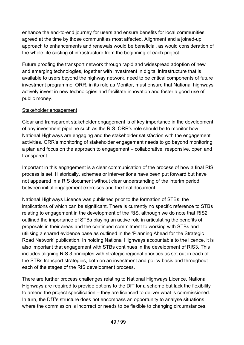enhance the end-to-end journey for users and ensure benefits for local communities, agreed at the time by those communities most affected. Alignment and a joined-up approach to enhancements and renewals would be beneficial, as would consideration of the whole life costing of infrastructure from the beginning of each project.

Future proofing the transport network through rapid and widespread adoption of new and emerging technologies, together with investment in digital infrastructure that is available to users beyond the highway network, need to be critical components of future investment programme. ORR, in its role as Monitor, must ensure that National highways actively invest in new technologies and facilitate innovation and foster a good use of public money.

#### Stakeholder engagement

Clear and transparent stakeholder engagement is of key importance in the development of any investment pipeline such as the RIS. ORR's role should be to monitor how National Highways are engaging and the stakeholder satisfaction with the engagement activities. ORR's monitoring of stakeholder engagement needs to go beyond monitoring a plan and focus on the approach to engagement – collaborative, responsive, open and transparent.

Important in this engagement is a clear communication of the process of how a final RIS process is set. Historically, schemes or interventions have been put forward but have not appeared in a RIS document without clear understanding of the interim period between initial engagement exercises and the final document.

National Highways Licence was published prior to the formation of STBs: the implications of which can be significant. There is currently no specific reference to STBs relating to engagement in the development of the RIS, although we do note that RIS2 outlined the importance of STBs playing an active role in articulating the benefits of proposals in their areas and the continued commitment to working with STBs and utilising a shared evidence base as outlined in the 'Planning Ahead for the Strategic Road Network' publication. In holding National Highways accountable to the licence, it is also important that engagement with STBs continues in the development of RIS3. This includes aligning RIS 3 principles with strategic regional priorities as set out in each of the STBs transport strategies, both on an investment and policy basis and throughout each of the stages of the RIS development process.

There are further process challenges relating to National Highways Licence. National Highways are required to provide options to the DfT for a scheme but lack the flexibility to amend the project specification – they are licenced to deliver what is commissioned. In turn, the DfT's structure does not encompass an opportunity to analyse situations where the commission is incorrect or needs to be flexible to changing circumstances.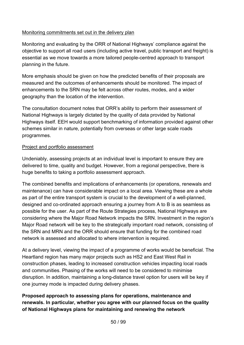#### Monitoring commitments set out in the delivery plan

Monitoring and evaluating by the ORR of National Highways' compliance against the objective to support all road users (including active travel, public transport and freight) is essential as we move towards a more tailored people-centred approach to transport planning in the future.

More emphasis should be given on how the predicted benefits of their proposals are measured and the outcomes of enhancements should be monitored. The impact of enhancements to the SRN may be felt across other routes, modes, and a wider geography than the location of the intervention.

The consultation document notes that ORR's ability to perform their assessment of National Highways is largely dictated by the quality of data provided by National Highways itself. EEH would support benchmarking of information provided against other schemes similar in nature, potentially from overseas or other large scale roads programmes.

#### Project and portfolio assessment

Undeniably, assessing projects at an individual level is important to ensure they are delivered to time, quality and budget. However, from a regional perspective, there is huge benefits to taking a portfolio assessment approach.

The combined benefits and implications of enhancements (or operations, renewals and maintenance) can have considerable impact on a local area. Viewing these are a whole as part of the entire transport system is crucial to the development of a well-planned, designed and co-ordinated approach ensuring a journey from A to B is as seamless as possible for the user. As part of the Route Strategies process, National Highways are considering where the Major Road Network impacts the SRN. Investment in the region's Major Road network will be key to the strategically important road network, consisting of the SRN and MRN and the ORR should ensure that funding for the combined road network is assessed and allocated to where intervention is required.

At a delivery level, viewing the impact of a programme of works would be beneficial. The Heartland region has many major projects such as HS2 and East West Rail in construction phases, leading to increased construction vehicles impacting local roads and communities. Phasing of the works will need to be considered to minimise disruption. In addition, maintaining a long-distance travel option for users will be key if one journey mode is impacted during delivery phases.

**Proposed approach to assessing plans for operations, maintenance and renewals. In particular, whether you agree with our planned focus on the quality of National Highways plans for maintaining and renewing the network**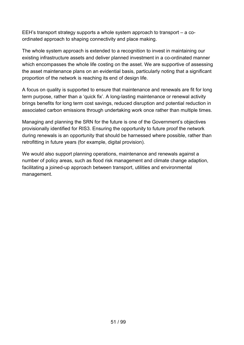EEH's transport strategy supports a whole system approach to transport – a coordinated approach to shaping connectivity and place making.

The whole system approach is extended to a recognition to invest in maintaining our existing infrastructure assets and deliver planned investment in a co-ordinated manner which encompasses the whole life costing on the asset. We are supportive of assessing the asset maintenance plans on an evidential basis, particularly noting that a significant proportion of the network is reaching its end of design life.

A focus on quality is supported to ensure that maintenance and renewals are fit for long term purpose, rather than a 'quick fix'. A long-lasting maintenance or renewal activity brings benefits for long term cost savings, reduced disruption and potential reduction in associated carbon emissions through undertaking work once rather than multiple times.

Managing and planning the SRN for the future is one of the Government's objectives provisionally identified for RIS3. Ensuring the opportunity to future proof the network during renewals is an opportunity that should be harnessed where possible, rather than retrofitting in future years (for example, digital provision).

We would also support planning operations, maintenance and renewals against a number of policy areas, such as flood risk management and climate change adaption, facilitating a joined-up approach between transport, utilities and environmental management.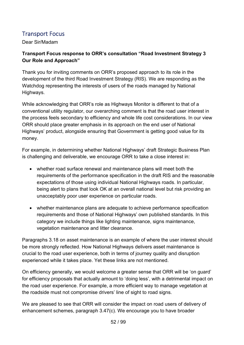## Transport Focus

Dear Sir/Madam

## **Transport Focus response to ORR's consultation "Road Investment Strategy 3 Our Role and Approach"**

Thank you for inviting comments on ORR's proposed approach to its role in the development of the third Road Investment Strategy (RIS). We are responding as the Watchdog representing the interests of users of the roads managed by National Highways.

While acknowledging that ORR's role as Highways Monitor is different to that of a conventional utility regulator, our overarching comment is that the road user interest in the process feels secondary to efficiency and whole life cost considerations. In our view ORR should place greater emphasis in its approach on the end user of National Highways' product, alongside ensuring that Government is getting good value for its money.

For example, in determining whether National Highways' draft Strategic Business Plan is challenging and deliverable, we encourage ORR to take a close interest in:

- whether road surface renewal and maintenance plans will meet both the requirements of the performance specification in the draft RIS and the reasonable expectations of those using individual National Highways roads. In particular, being alert to plans that look OK at an overall national level but risk providing an unacceptably poor user experience on particular roads.
- whether maintenance plans are adequate to achieve performance specification requirements and those of National Highways' own published standards. In this category we include things like lighting maintenance, signs maintenance, vegetation maintenance and litter clearance.

Paragraphs 3.18 on asset maintenance is an example of where the user interest should be more strongly reflected. How National Highways delivers asset maintenance is crucial to the road user experience, both in terms of journey quality and disruption experienced while it takes place. Yet these links are not mentioned.

On efficiency generally, we would welcome a greater sense that ORR will be 'on guard' for efficiency proposals that actually amount to 'doing less', with a detrimental impact on the road user experience. For example, a more efficient way to manage vegetation at the roadside must not compromise drivers' line of sight to road signs.

We are pleased to see that ORR will consider the impact on road users of delivery of enhancement schemes, paragraph 3.47(c). We encourage you to have broader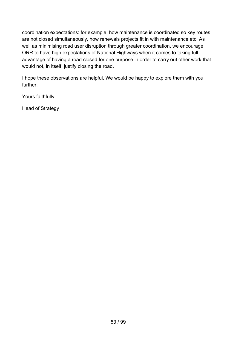coordination expectations: for example, how maintenance is coordinated so key routes are not closed simultaneously, how renewals projects fit in with maintenance etc. As well as minimising road user disruption through greater coordination, we encourage ORR to have high expectations of National Highways when it comes to taking full advantage of having a road closed for one purpose in order to carry out other work that would not, in itself, justify closing the road.

I hope these observations are helpful. We would be happy to explore them with you further.

Yours faithfully

Head of Strategy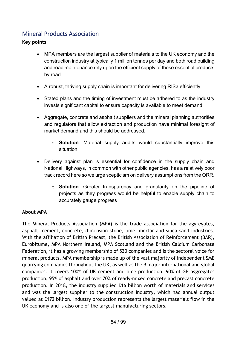## Mineral Products Association

**Key points**:

- MPA members are the largest supplier of materials to the UK economy and the construction industry at typically 1 million tonnes per day and both road building and road maintenance rely upon the efficient supply of these essential products by road
- A robust, thriving supply chain is important for delivering RIS3 efficiently
- Stated plans and the timing of investment must be adhered to as the industry invests significant capital to ensure capacity is available to meet demand
- Aggregate, concrete and asphalt suppliers and the mineral planning authorities and regulators that allow extraction and production have minimal foresight of market demand and this should be addressed.
	- o **Solution**: Material supply audits would substantially improve this situation
- Delivery against plan is essential for confidence in the supply chain and National Highways, in common with other public agencies, has a relatively poor track record here so we urge scepticism on delivery assumptions from the ORR.
	- o **Solution**: Greater transparency and granularity on the pipeline of projects as they progress would be helpful to enable supply chain to accurately gauge progress

#### **About MPA**

The Mineral Products Association (MPA) is the trade association for the aggregates, asphalt, cement, concrete, dimension stone, lime, mortar and silica sand industries. With the affiliation of British Precast, the British Association of Reinforcement (BAR), Eurobitume, MPA Northern Ireland, MPA Scotland and the British Calcium Carbonate Federation, it has a growing membership of 530 companies and is the sectoral voice for mineral products. MPA membership is made up of the vast majority of independent SME quarrying companies throughout the UK, as well as the 9 major international and global companies. It covers 100% of UK cement and lime production, 90% of GB aggregates production, 95% of asphalt and over 70% of ready-mixed concrete and precast concrete production. In 2018, the industry supplied £16 billion worth of materials and services and was the largest supplier to the construction industry, which had annual output valued at £172 billion. Industry production represents the largest materials flow in the UK economy and is also one of the largest manufacturing sectors.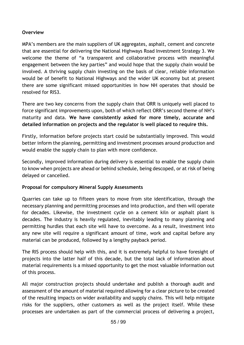#### **Overview**

MPA's members are the main suppliers of UK aggregates, asphalt, cement and concrete that are essential for delivering the National Highways Road Investment Strategy 3. We welcome the theme of "a transparent and collaborative process with meaningful engagement between the key parties" and would hope that the supply chain would be involved. A thriving supply chain investing on the basis of clear, reliable information would be of benefit to National Highways and the wider UK economy but at present there are some significant missed opportunities in how NH operates that should be resolved for RIS3.

There are two key concerns from the supply chain that ORR is uniquely well placed to force significant improvements upon, both of which reflect ORR's second theme of NH's maturity and data. **We have consistently asked for more timely, accurate and detailed information on projects and the regulator is well placed to require this.**

Firstly, information before projects start could be substantially improved. This would better inform the planning, permitting and investment processes around production and would enable the supply chain to plan with more confidence.

Secondly, improved information during delivery is essential to enable the supply chain to know when projects are ahead or behind schedule, being descoped, or at risk of being delayed or cancelled.

#### **Proposal for compulsory Mineral Supply Assessments**

Quarries can take up to fifteen years to move from site identification, through the necessary planning and permitting processes and into production, and then will operate for decades. Likewise, the investment cycle on a cement kiln or asphalt plant is decades. The industry is heavily regulated, inevitably leading to many planning and permitting hurdles that each site will have to overcome. As a result, investment into any new site will require a significant amount of time, work and capital before any material can be produced, followed by a lengthy payback period.

The RIS process should help with this, and it is extremely helpful to have foresight of projects into the latter half of this decade, but the total lack of information about material requirements is a missed opportunity to get the most valuable information out of this process.

All major construction projects should undertake and publish a thorough audit and assessment of the amount of material required allowing for a clear picture to be created of the resulting impacts on wider availability and supply chains. This will help mitigate risks for the suppliers, other customers as well as the project itself. While these processes are undertaken as part of the commercial process of delivering a project,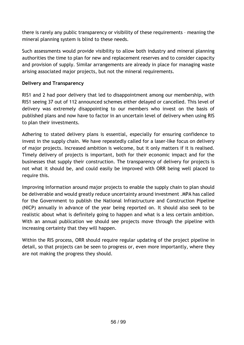there is rarely any public transparency or visibility of these requirements – meaning the mineral planning system is blind to these needs.

Such assessments would provide visibility to allow both industry and mineral planning authorities the time to plan for new and replacement reserves and to consider capacity and provision of supply. Similar arrangements are already in place for managing waste arising associated major projects, but not the mineral requirements.

#### **Delivery and Transparency**

RIS1 and 2 had poor delivery that led to disappointment among our membership, with RIS1 seeing 37 out of 112 announced schemes either delayed or cancelled. This level of delivery was extremely disappointing to our members who invest on the basis of published plans and now have to factor in an uncertain level of delivery when using RIS to plan their investments.

Adhering to stated delivery plans is essential, especially for ensuring confidence to invest in the supply chain. We have repeatedly called for a laser-like focus on delivery of major projects. Increased ambition is welcome, but it only matters if it is realised. Timely delivery of projects is important, both for their economic impact and for the businesses that supply their construction. The transparency of delivery for projects is not what it should be, and could easily be improved with ORR being well placed to require this.

Improving information around major projects to enable the supply chain to plan should be deliverable and would greatly reduce uncertainty around investment .MPA has called for the Government to publish the National Infrastructure and Construction Pipeline (NICP) annually in advance of the year being reported on. It should also seek to be realistic about what is definitely going to happen and what is a less certain ambition. With an annual publication we should see projects move through the pipeline with increasing certainty that they will happen.

Within the RIS process, ORR should require regular updating of the project pipeline in detail, so that projects can be seen to progress or, even more importantly, where they are not making the progress they should.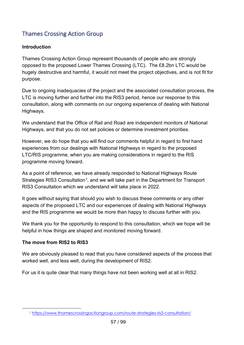# Thames Crossing Action Group

#### **Introduction**

Thames Crossing Action Group represent thousands of people who are strongly opposed to the proposed Lower Thames Crossing (LTC). The £8.2bn LTC would be hugely destructive and harmful, it would not meet the project objectives, and is not fit for purpose.

Due to ongoing inadequacies of the project and the associated consultation process, the LTC is moving further and further into the RIS3 period, hence our response to this consultation, along with comments on our ongoing experience of dealing with National Highways.

We understand that the Office of Rail and Road are independent monitors of National Highways, and that you do not set policies or determine investment priorities.

However, we do hope that you will find our comments helpful in regard to first hand experiences from our dealings with National Highways in regard to the proposed LTC/RIS programme, when you are making considerations in regard to the RIS programme moving forward.

As a point of reference, we have already responded to National Highways Route Strategies RIS3 Consultation<sup>[1](#page-56-0)</sup>, and we will take part in the Department for Transport RIS3 Consultation which we understand will take place in 2022.

It goes without saying that should you wish to discuss these comments or any other aspects of the proposed LTC and our experiences of dealing with National Highways and the RIS programme we would be more than happy to discuss further with you.

We thank you for the opportunity to respond to this consultation, which we hope will be helpful in how things are shaped and monitored moving forward.

#### **The move from RIS2 to RIS3**

We are obviously pleased to read that you have considered aspects of the process that worked well, and less well, during the development of RIS2.

For us it is quite clear that many things have not been working well at all in RIS2.

<span id="page-56-0"></span><sup>1</sup> <https://www.thamescrossingactiongroup.com/route-strategies-ris3-consultation/>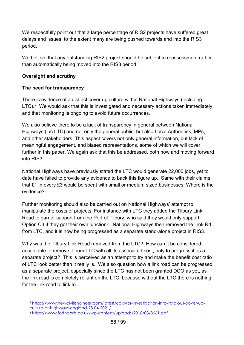We respectfully point out that a large percentage of RIS2 projects have suffered great delays and issues, to the extent many are being pushed towards and into the RIS3 period.

We believe that any outstanding RIS2 project should be subject to reassessment rather than automatically being moved into the RIS3 period.

#### **Oversight and scrutiny**

#### **The need for transparency**

There is evidence of a distinct cover up culture within National Highways (including  $LTC$ ).<sup>2</sup> We would ask that this is investigated and necessary actions taken immediately and that monitoring is ongoing to avoid future occurrences.

We also believe there to be a lack of transparency in general between National Highways (inc LTC) and not only the general public, but also Local Authorities, MPs, and other stakeholders. This aspect covers not only general information, but lack of meaningful engagement, and biased representations, some of which we will cover further in this paper. We again ask that this be addressed, both now and moving forward into RIS3.

National Highways have previously stated the LTC would generate 22,000 jobs, yet to date have failed to provide any evidence to back this figure up. Same with their claims that £1 in every £3 would be spent with small or medium sized businesses. Where is the evidence?

Further monitoring should also be carried out on National Highways' attempt to manipulate the costs of projects. For instance with LTC they added the Tilbury Link Road to garner support from the Port of Tilbury, who said they would only support Option C[3](#page-57-1) if they got their own junction<sup>3</sup>. National Highways then removed the Link Rd from LTC, and it is now being progressed as a separate stand-alone project in RIS3.

Why was the Tilbury Link Road removed from the LTC? How can it be considered acceptable to remove it from LTC with all its associated cost, only to progress it as a separate project? This is perceived as an attempt to try and make the benefit cost ratio of LTC look better than it really is. We also question how a link road can be progressed as a separate project, especially since the LTC has not been granted DCO as yet, as the link road is completely reliant on the LTC, because without the LTC there is nothing for the link road to link to.

<span id="page-57-0"></span><sup>2</sup> [https://www.newcivilengineer.com/latest/calls-for-investigation-into-insidious-cover-up](https://www.newcivilengineer.com/latest/calls-for-investigation-into-insidious-cover-up-culture-at-highways-england-28-04-2021/)[culture-at-highways-england-28-04-2021/](https://www.newcivilengineer.com/latest/calls-for-investigation-into-insidious-cover-up-culture-at-highways-england-28-04-2021/)

<span id="page-57-1"></span><sup>3</sup> <https://www.forthports.co.uk/wp-content/uploads/2018/03/3661.pdf>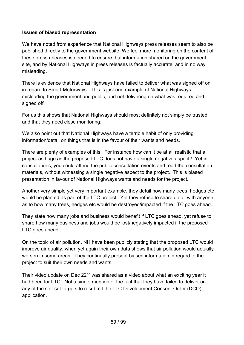#### **Issues of biased representation**

We have noted from experience that National Highways press releases seem to also be published directly to the government website, We feel more monitoring on the content of these press releases is needed to ensure that information shared on the government site, and by National Highways in press releases is factually accurate, and in no way misleading.

There is evidence that National Highways have failed to deliver what was signed off on in regard to Smart Motorways. This is just one example of National Highways misleading the government and public, and not delivering on what was required and signed off.

For us this shows that National Highways should most definitely not simply be trusted, and that they need close monitoring.

We also point out that National Highways have a terrible habit of only providing information/detail on things that is in the favour of their wants and needs.

There are plenty of examples of this. For instance how can it be at all realistic that a project as huge as the proposed LTC does not have a single negative aspect? Yet in consultations, you could attend the public consultation events and read the consultation materials, without witnessing a single negative aspect to the project. This is biased presentation in favour of National Highways wants and needs for the project.

Another very simple yet very important example, they detail how many trees, hedges etc would be planted as part of the LTC project. Yet they refuse to share detail with anyone as to how many trees, hedges etc would be destroyed/impacted if the LTC goes ahead.

They state how many jobs and business would benefit if LTC goes ahead, yet refuse to share how many business and jobs would be lost/negatively impacted if the proposed LTC goes ahead.

On the topic of air pollution, NH have been publicly stating that the proposed LTC would improve air quality, when yet again their own data shows that air pollution would actually worsen in some areas. They continually present biased information in regard to the project to suit their own needs and wants.

Their video update on Dec 22<sup>nd</sup> was shared as a video about what an exciting year it had been for LTC! Not a single mention of the fact that they have failed to deliver on any of the self-set targets to resubmit the LTC Development Consent Order (DCO) application.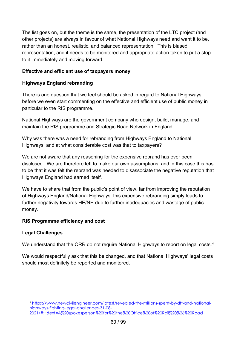The list goes on, but the theme is the same, the presentation of the LTC project (and other projects) are always in favour of what National Highways need and want it to be, rather than an honest, realistic, and balanced representation. This is biased representation, and it needs to be monitored and appropriate action taken to put a stop to it immediately and moving forward.

#### **Effective and efficient use of taxpayers money**

#### **Highways England rebranding**

There is one question that we feel should be asked in regard to National Highways before we even start commenting on the effective and efficient use of public money in particular to the RIS programme.

National Highways are the government company who design, build, manage, and maintain the RIS programme and Strategic Road Network in England.

Why was there was a need for rebranding from Highways England to National Highways, and at what considerable cost was that to taxpayers?

We are not aware that any reasoning for the expensive rebrand has ever been disclosed. We are therefore left to make our own assumptions, and in this case this has to be that it was felt the rebrand was needed to disassociate the negative reputation that Highways England had earned itself.

We have to share that from the public's point of view, far from improving the reputation of Highways England/National Highways, this expensive rebranding simply leads to further negativity towards HE/NH due to further inadequacies and wastage of public money.

#### **RIS Programme efficiency and cost**

#### **Legal Challenges**

We understand that the ORR do not require National Highways to report on legal costs.<sup>4</sup>

We would respectfully ask that this be changed, and that National Highways' legal costs should most definitely be reported and monitored.

<span id="page-59-0"></span><sup>4</sup> [https://www.newcivilengineer.com/latest/revealed-the-millions-spent-by-dft-and-national](https://www.newcivilengineer.com/latest/revealed-the-millions-spent-by-dft-and-national-highways-fighting-legal-challenges-31-08-2021/#:%7E:text=A%20spokesperson%20for%20the%20Office%20of%20Rail%20%26%20Road)[highways-fighting-legal-challenges-31-08-](https://www.newcivilengineer.com/latest/revealed-the-millions-spent-by-dft-and-national-highways-fighting-legal-challenges-31-08-2021/#:%7E:text=A%20spokesperson%20for%20the%20Office%20of%20Rail%20%26%20Road) [2021/#:~:text=A%20spokesperson%20for%20the%20Office%20of%20Rail%20%26%20Road](https://www.newcivilengineer.com/latest/revealed-the-millions-spent-by-dft-and-national-highways-fighting-legal-challenges-31-08-2021/#:%7E:text=A%20spokesperson%20for%20the%20Office%20of%20Rail%20%26%20Road)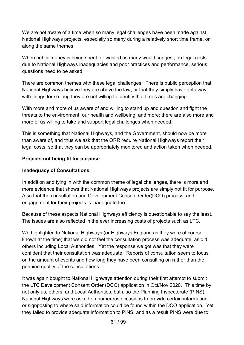We are not aware of a time when so many legal challenges have been made against National Highways projects, especially so many during a relatively short time frame, or along the same themes.

When public money is being spent, or wasted as many would suggest, on legal costs due to National Highways inadequacies and poor practices and performance, serious questions need to be asked.

There are common themes with these legal challenges. There is public perception that National Highways believe they are above the law, or that they simply have got away with things for so long they are not willing to identify that times are changing.

With more and more of us aware of and willing to stand up and question and fight the threats to the environment, our health and wellbeing, and more; there are also more and more of us willing to take and support legal challenges when needed.

This is something that National Highways, and the Government, should now be more than aware of, and thus we ask that the ORR require National Highways report their legal costs, so that they can be appropriately monitored and action taken when needed.

#### **Projects not being fit for purpose**

#### **Inadequacy of Consultations**

In addition and tying in with the common theme of legal challenges, there is more and more evidence that shows that National Highways projects are simply not fit for purpose. Also that the consultation and Development Consent Order(DCO) process, and engagement for their projects is inadequate too.

Because of these aspects National Highways efficiency is questionable to say the least. The issues are also reflected in the ever increasing costs of projects such as LTC.

We highlighted to National Highways (or Highways England as they were of course known at the time) that we did not feel the consultation process was adequate, as did others including Local Authorities. Yet the response we got was that they were confident that their consultation was adequate. Reports of consultation seem to focus on the amount of events and how long they have been consulting on rather than the genuine quality of the consultations.

It was again bought to National Highways attention during their first attempt to submit the LTC Development Consent Order (DCO) application in Oct/Nov 2020. This time by not only us, others, and Local Authorities, but also the Planning Inspectorate (PINS). National Highways were asked on numerous occasions to provide certain information, or signposting to where said information could be found within the DCO application. Yet they failed to provide adequate information to PINS, and as a result PINS were due to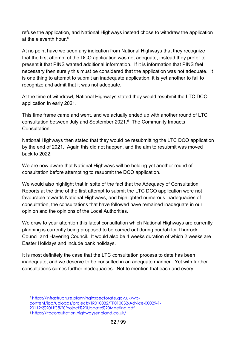refuse the application, and National Highways instead chose to withdraw the application at the eleventh hour.[5](#page-61-0)

At no point have we seen any indication from National Highways that they recognize that the first attempt of the DCO application was not adequate, instead they prefer to present it that PINS wanted additional information. If it is information that PINS feel necessary then surely this must be considered that the application was not adequate. It is one thing to attempt to submit an inadequate application, it is yet another to fail to recognize and admit that it was not adequate.

At the time of withdrawl, National Highways stated they would resubmit the LTC DCO application in early 2021.

This time frame came and went, and we actually ended up with another round of LTC consultation between July and September 2021.[6](#page-61-1) The Community Impacts **Consultation** 

National Highways then stated that they would be resubmitting the LTC DCO application by the end of 2021. Again this did not happen, and the aim to resubmit was moved back to 2022.

We are now aware that National Highways will be holding yet another round of consultation before attempting to resubmit the DCO application.

We would also highlight that in spite of the fact that the Adequacy of Consultation Reports at the time of the first attempt to submit the LTC DCO application were not favourable towards National Highways, and highlighted numerous inadequacies of consultation, the consultations that have followed have remained inadequate in our opinion and the opinions of the Local Authorities.

We draw to your attention this latest consultation which National Highways are currently planning is currently being proposed to be carried out during purdah for Thurrock Council and Havering Council. It would also be 4 weeks duration of which 2 weeks are Easter Holidays and include bank holidays.

It is most definitely the case that the LTC consultation process to date has been inadequate, and we deserve to be consulted in an adequate manner. Yet with further consultations comes further inadequacies. Not to mention that each and every

<span id="page-61-1"></span><span id="page-61-0"></span><sup>5</sup> [https://infrastructure.planninginspectorate.gov.uk/wp](https://infrastructure.planninginspectorate.gov.uk/wp-content/ipc/uploads/projects/TR010032/TR010032-Advice-00029-1-201126%20LTC%20Project%20Update%20Meeting.pdf)[content/ipc/uploads/projects/TR010032/TR010032-Advice-00029-1-](https://infrastructure.planninginspectorate.gov.uk/wp-content/ipc/uploads/projects/TR010032/TR010032-Advice-00029-1-201126%20LTC%20Project%20Update%20Meeting.pdf) [201126%20LTC%20Project%20Update%20Meeting.pdf](https://infrastructure.planninginspectorate.gov.uk/wp-content/ipc/uploads/projects/TR010032/TR010032-Advice-00029-1-201126%20LTC%20Project%20Update%20Meeting.pdf) <sup>6</sup> <https://ltcconsultation.highwaysengland.co.uk/>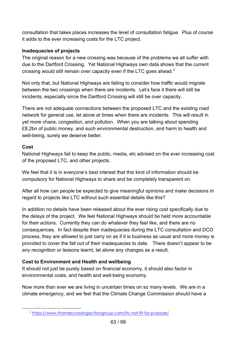consultation that takes places increases the level of consultation fatigue. Plus of course it adds to the ever increasing costs for the LTC project.

#### **Inadequacies of projects**

The original reason for a new crossing was because of the problems we all suffer with due to the Dartford Crossing. Yet National Highways own data shows that the current crossing would still remain over capacity even if the LTC goes ahead.[7](#page-62-0)

Not only that, but National Highways are failing to consider how traffic would migrate between the two crossings when there are incidents. Let's face it there will still be incidents, especially since the Dartford Crossing will still be over capacity.

There are not adequate connections between the proposed LTC and the existing road network for general use, let alone at times when there are incidents. This will result in yet more chaos, congestion, and pollution. When you are talking about spending £8.2bn of public money, and such environmental destruction, and harm to health and well-being, surely we deserve better.

## **Cost**

National Highways fail to keep the public, media, etc advised on the ever increasing cost of the proposed LTC, and other projects.

We feel that it is in everyone's best interest that this kind of information should be compulsory for National Highways to share and be completely transparent on.

After all how can people be expected to give meaningful opinions and make decisions in regard to projects like LTC without such essential details like this?

In addition no details have been released about the ever rising cost specifically due to the delays of the project. We feel National Highways should be held more accountable for their actions. Currently they can do whatever they feel like, and there are no consequences. In fact despite their inadequacies during the LTC consultation and DCO process, they are allowed to just carry on as if it is business as usual and more money is provided to cover the fall out of their inadequacies to date. There doesn't appear to be any recognition or lessons learnt, let alone any changes as a result.

## **Cost to Environment and Health and wellbeing**

It should not just be purely based on financial economy, it should also factor in environmental costs, and health and well-being economy.

Now more than ever we are living in uncertain times on so many levels. We are in a climate emergency, and we feel that the Climate Change Commission should have a

<span id="page-62-0"></span><sup>7</sup> <https://www.thamescrossingactiongroup.com/ltc-not-fit-for-purpose/>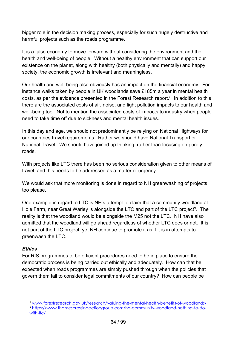bigger role in the decision making process, especially for such hugely destructive and harmful projects such as the roads programme.

It is a false economy to move forward without considering the environment and the health and well-being of people. Without a healthy environment that can support our existence on the planet, along with healthy (both physically and mentally) and happy society, the economic growth is irrelevant and meaningless.

Our health and well-being also obviously has an impact on the financial economy. For instance walks taken by people in UK woodlands save £185m a year in mental health costs, as per the evidence presented in the Forest Research report.<sup>8</sup> In addition to this there are the associated costs of air, noise, and light pollution impacts to our health and well-being too. Not to mention the associated costs of impacts to industry when people need to take time off due to sickness and mental health issues.

In this day and age, we should not predominantly be relying on National Highways for our countries travel requirements. Rather we should have National Transport or National Travel. We should have joined up thinking, rather than focusing on purely roads.

With projects like LTC there has been no serious consideration given to other means of travel, and this needs to be addressed as a matter of urgency.

We would ask that more monitoring is done in regard to NH greenwashing of projects too please.

One example in regard to LTC is NH's attempt to claim that a community woodland at Hole Farm, near Great Warley is alongside the LTC and part of the LTC project<sup>[9](#page-63-1)</sup>. The reality is that the woodland would be alongside the M25 not the LTC. NH have also admitted that the woodland will go ahead regardless of whether LTC does or not. It is not part of the LTC project, yet NH continue to promote it as if it is in attempts to greenwash the LTC.

#### *Ethics*

For RIS programmes to be efficient procedures need to be in place to ensure the democratic process is being carried out ethically and adequately. How can that be expected when roads programmes are simply pushed through when the policies that govern them fail to consider legal commitments of our country? How can people be

<span id="page-63-1"></span><span id="page-63-0"></span><sup>8</sup> [www.forestresearch.gov.uk/research/valuing-the-mental-health-benefits-of-woodlands/](http://www.forestresearch.gov.uk/research/valuing-the-mental-health-benefits-of-woodlands/) <sup>9</sup> [https://www.thamescrossingactiongroup.com/he-community-woodland-nothing-to-do](https://www.thamescrossingactiongroup.com/he-community-woodland-nothing-to-do-with-ltc/)[with-ltc/](https://www.thamescrossingactiongroup.com/he-community-woodland-nothing-to-do-with-ltc/)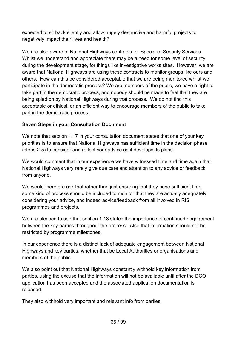expected to sit back silently and allow hugely destructive and harmful projects to negatively impact their lives and health?

We are also aware of National Highways contracts for Specialist Security Services. Whilst we understand and appreciate there may be a need for some level of security during the development stage, for things like investigative works sites. However, we are aware that National Highways are using these contracts to monitor groups like ours and others. How can this be considered acceptable that we are being monitored whilst we participate in the democratic process? We are members of the public, we have a right to take part in the democratic process, and nobody should be made to feel that they are being spied on by National Highways during that process. We do not find this acceptable or ethical, or an efficient way to encourage members of the public to take part in the democratic process.

#### **Seven Steps in your Consultation Document**

We note that section 1.17 in your consultation document states that one of your key priorities is to ensure that National Highways has sufficient time in the decision phase (steps 2-5) to consider and reflect your advice as it develops its plans.

We would comment that in our experience we have witnessed time and time again that National Highways very rarely give due care and attention to any advice or feedback from anyone.

We would therefore ask that rather than just ensuring that they have sufficient time. some kind of process should be included to monitor that they are actually adequately considering your advice, and indeed advice/feedback from all involved in RIS programmes and projects.

We are pleased to see that section 1.18 states the importance of continued engagement between the key parties throughout the process. Also that information should not be restricted by programme milestones.

In our experience there is a distinct lack of adequate engagement between National Highways and key parties, whether that be Local Authorities or organisations and members of the public.

We also point out that National Highways constantly withhold key information from parties, using the excuse that the information will not be available until after the DCO application has been accepted and the associated application documentation is released.

They also withhold very important and relevant info from parties.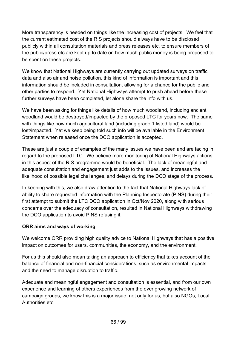More transparency is needed on things like the increasing cost of projects. We feel that the current estimated cost of the RIS projects should always have to be disclosed publicly within all consultation materials and press releases etc, to ensure members of the public/press etc are kept up to date on how much public money is being proposed to be spent on these projects.

We know that National Highways are currently carrying out updated surveys on traffic data and also air and noise pollution, this kind of information is important and this information should be included in consultation, allowing for a chance for the public and other parties to respond. Yet National Highways attempt to push ahead before these further surveys have been completed, let alone share the info with us.

We have been asking for things like details of how much woodland, including ancient woodland would be destroyed/impacted by the proposed LTC for years now. The same with things like how much agricultural land (including grade 1 listed land) would be lost/impacted. Yet we keep being told such info will be available in the Environment Statement when released once the DCO application is accepted.

These are just a couple of examples of the many issues we have been and are facing in regard to the proposed LTC. We believe more monitoring of National Highways actions in this aspect of the RIS programme would be beneficial. The lack of meaningful and adequate consultation and engagement just adds to the issues, and increases the likelihood of possible legal challenges, and delays during the DCO stage of the process.

In keeping with this, we also draw attention to the fact that National Highways lack of ability to share requested information with the Planning Inspectorate (PINS) during their first attempt to submit the LTC DCO application in Oct/Nov 2020, along with serious concerns over the adequacy of consultation, resulted in National Highways withdrawing the DCO application to avoid PINS refusing it.

#### **ORR aims and ways of working**

We welcome ORR providing high quality advice to National Highways that has a positive impact on outcomes for users, communities, the economy, and the environment.

For us this should also mean taking an approach to efficiency that takes account of the balance of financial and non-financial considerations, such as environmental impacts and the need to manage disruption to traffic.

Adequate and meaningful engagement and consultation is essential, and from our own experience and learning of others experiences from the ever growing network of campaign groups, we know this is a major issue, not only for us, but also NGOs, Local Authorities etc.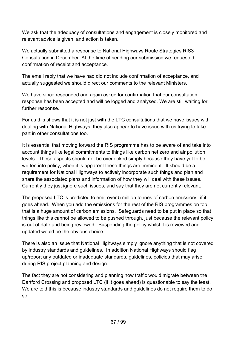We ask that the adequacy of consultations and engagement is closely monitored and relevant advice is given, and action is taken.

We actually submitted a response to National Highways Route Strategies RIS3 Consultation in December. At the time of sending our submission we requested confirmation of receipt and acceptance.

The email reply that we have had did not include confirmation of acceptance, and actually suggested we should direct our comments to the relevant Ministers.

We have since responded and again asked for confirmation that our consultation response has been accepted and will be logged and analysed. We are still waiting for further response.

For us this shows that it is not just with the LTC consultations that we have issues with dealing with National Highways, they also appear to have issue with us trying to take part in other consultations too.

It is essential that moving forward the RIS programme has to be aware of and take into account things like legal commitments to things like carbon net zero and air pollution levels. These aspects should not be overlooked simply because they have yet to be written into policy, when it is apparent these things are imminent. It should be a requirement for National Highways to actively incorporate such things and plan and share the associated plans and information of how they will deal with these issues. Currently they just ignore such issues, and say that they are not currently relevant.

The proposed LTC is predicted to emit over 5 million tonnes of carbon emissions, if it goes ahead. When you add the emissions for the rest of the RIS programmes on top, that is a huge amount of carbon emissions. Safeguards need to be put in place so that things like this cannot be allowed to be pushed through, just because the relevant policy is out of date and being reviewed. Suspending the policy whilst it is reviewed and updated would be the obvious choice.

There is also an issue that National Highways simply ignore anything that is not covered by industry standards and guidelines. In addition National Highways should flag up/report any outdated or inadequate standards, guidelines, policies that may arise during RIS project planning and design.

The fact they are not considering and planning how traffic would migrate between the Dartford Crossing and proposed LTC (if it goes ahead) is questionable to say the least. We are told this is because industry standards and guidelines do not require them to do so.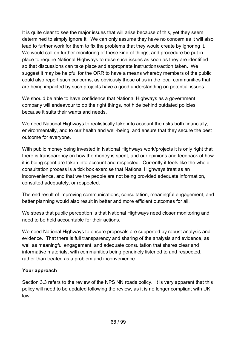It is quite clear to see the major issues that will arise because of this, yet they seem determined to simply ignore it. We can only assume they have no concern as it will also lead to further work for them to fix the problems that they would create by ignoring it. We would call on further monitoring of these kind of things, and procedure be put in place to require National Highways to raise such issues as soon as they are identified so that discussions can take place and appropriate instructions/action taken. We suggest it may be helpful for the ORR to have a means whereby members of the public could also report such concerns, as obviously those of us in the local communities that are being impacted by such projects have a good understanding on potential issues.

We should be able to have confidence that National Highways as a government company will endeavour to do the right things, not hide behind outdated policies because it suits their wants and needs.

We need National Highways to realistically take into account the risks both financially, environmentally, and to our health and well-being, and ensure that they secure the best outcome for everyone.

With public money being invested in National Highways work/projects it is only right that there is transparency on how the money is spent, and our opinions and feedback of how it is being spent are taken into account and respected. Currently it feels like the whole consultation process is a tick box exercise that National Highways treat as an inconvenience, and that we the people are not being provided adequate information, consulted adequately, or respected.

The end result of improving communications, consultation, meaningful engagement, and better planning would also result in better and more efficient outcomes for all.

We stress that public perception is that National Highways need closer monitoring and need to be held accountable for their actions.

We need National Highways to ensure proposals are supported by robust analysis and evidence. That there is full transparency and sharing of the analysis and evidence, as well as meaningful engagement, and adequate consultation that shares clear and informative materials, with communities being genuinely listened to and respected, rather than treated as a problem and inconvenience.

#### **Your approach**

Section 3.3 refers to the review of the NPS NN roads policy. It is very apparent that this policy will need to be updated following the review, as it is no longer compliant with UK law.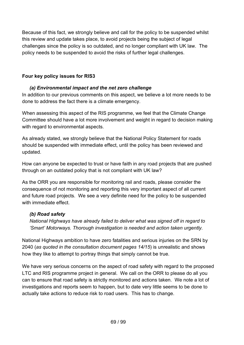Because of this fact, we strongly believe and call for the policy to be suspended whilst this review and update takes place, to avoid projects being the subject of legal challenges since the policy is so outdated, and no longer compliant with UK law. The policy needs to be suspended to avoid the risks of further legal challenges.

#### **Four key policy issues for RIS3**

## *(a) Environmental impact and the net zero challenge*

In addition to our previous comments on this aspect, we believe a lot more needs to be done to address the fact there is a climate emergency.

When assessing this aspect of the RIS programme, we feel that the Climate Change Committee should have a lot more involvement and weight in regard to decision making with regard to environmental aspects.

As already stated, we strongly believe that the National Policy Statement for roads should be suspended with immediate effect, until the policy has been reviewed and updated.

How can anyone be expected to trust or have faith in any road projects that are pushed through on an outdated policy that is not compliant with UK law?

As the ORR you are responsible for monitoring rail and roads, please consider the consequence of not monitoring and reporting this very important aspect of all current and future road projects. We see a very definite need for the policy to be suspended with immediate effect.

#### *(b) Road safety*

*National Highways have already failed to deliver what was signed off in regard to 'Smart' Motorways. Thorough investigation is needed and action taken urgently.* 

National Highways ambition to have zero fatalities and serious injuries on the SRN by 2040 (*as quoted in the consultation document pages 14/15*) is unrealistic and shows how they like to attempt to portray things that simply cannot be true.

We have very serious concerns on the aspect of road safety with regard to the proposed LTC and RIS programme project in general. We call on the ORR to please do all you can to ensure that road safety is strictly monitored and actions taken. We note a lot of investigations and reports seem to happen, but to date very little seems to be done to actually take actions to reduce risk to road users. This has to change.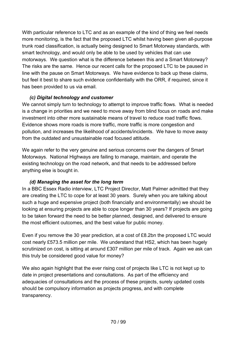With particular reference to LTC and as an example of the kind of thing we feel needs more monitoring, is the fact that the proposed LTC whilst having been given all-purpose trunk road classification, is actually being designed to Smart Motorway standards, with smart technology, and would only be able to be used by vehicles that can use motorways. We question what is the difference between this and a Smart Motorway? The risks are the same. Hence our recent calls for the proposed LTC to be paused in line with the pause on Smart Motorways. We have evidence to back up these claims, but feel it best to share such evidence confidentially with the ORR, if required, since it has been provided to us via email.

## *(c) Digital technology and customer*

We cannot simply turn to technology to attempt to improve traffic flows. What is needed is a change in priorities and we need to move away from blind focus on roads and make investment into other more sustainable means of travel to reduce road traffic flows. Evidence shows more roads is more traffic, more traffic is more congestion and pollution, and increases the likelihood of accidents/incidents. We have to move away from the outdated and unsustainable road focused attitude.

We again refer to the very genuine and serious concerns over the dangers of Smart Motorways. National Highways are failing to manage, maintain, and operate the existing technology on the road network, and that needs to be addressed before anything else is bought in.

#### *(d) Managing the asset for the long term*

In a BBC Essex Radio interview, LTC Project Director, Matt Palmer admitted that they are creating the LTC to cope for at least 30 years. Surely when you are talking about such a huge and expensive project (both financially and environmentally) we should be looking at ensuring projects are able to cope longer than 30 years? If projects are going to be taken forward the need to be better planned, designed, and delivered to ensure the most efficient outcomes, and the best value for public money.

Even if you remove the 30 year prediction, at a cost of £8.2bn the proposed LTC would cost nearly £573.5 million per mile. We understand that HS2, which has been hugely scrutinized on cost, is sitting at around £307 million per mile of track. Again we ask can this truly be considered good value for money?

We also again highlight that the ever rising cost of projects like LTC is not kept up to date in project presentations and consultations. As part of the efficiency and adequacies of consultations and the process of these projects, surely updated costs should be compulsory information as projects progress, and with complete transparency.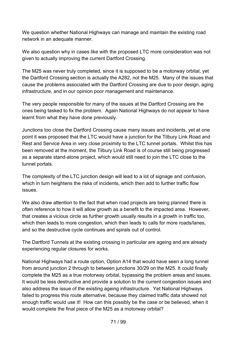We question whether National Highways can manage and maintain the existing road network in an adequate manner.

We also question why in cases like with the proposed LTC more consideration was not given to actually improving the current Dartford Crossing.

The M25 was never truly completed, since it is supposed to be a motorway orbital, yet the Dartford Crossing section is actually the A282, not the M25. Many of the issues that cause the problems associated with the Dartford Crossing are due to poor design, aging infrastructure, and in our opinion poor management and maintenance.

The very people responsible for many of the issues at the Dartford Crossing are the ones being tasked to fix the problem. Again National Highways do not appear to have learnt from what they have done previously.

Junctions too close the Dartford Crossing cause many issues and incidents, yet at one point it was proposed that the LTC would have a junction for the Tilbury Link Road and Rest and Service Area in very close proximity to the LTC tunnel portals. Whilst this has been removed at the moment, the Tilbury Link Road is of course still being progressed as a separate stand-alone project, which would still need to join the LTC close to the tunnel portals.

The complexity of the LTC junction design will lead to a lot of signage and confusion, which in turn heightens the risks of incidents, which then add to further traffic flow issues.

We also draw attention to the fact that when road projects are being planned there is often reference to how it will allow growth as a benefit to the impacted area. However, that creates a vicious circle as further growth usually results in a growth in traffic too, which then leads to more congestion, which then leads to calls for more roads/lanes, and so the destructive cycle continues and spirals out of control.

The Dartford Tunnels at the existing crossing in particular are ageing and are already experiencing regular closures for works.

National Highways had a route option, Option A14 that would have seen a long tunnel from around junction 2 through to between junctions 30/29 on the M25. It could finally complete the M25 as a true motorway orbital, bypassing the problem areas and issues. It would be less destructive and provide a solution to the current congestion issues and also address the issue of the existing ageing infrastructure. Yet National Highways failed to progress this route alternative, because they claimed traffic data showed not enough traffic would use it! How can this possibly be the case or be believed, when it would complete the final piece of the M25 as a motorway orbital?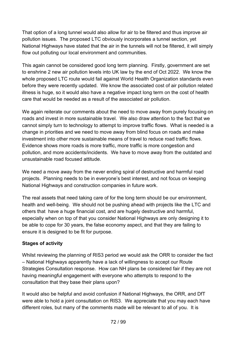That option of a long tunnel would also allow for air to be filtered and thus improve air pollution issues. The proposed LTC obviously incorporates a tunnel section, yet National Highways have stated that the air in the tunnels will not be filtered, it will simply flow out polluting our local environment and communities.

This again cannot be considered good long term planning. Firstly, government are set to enshrine 2 new air pollution levels into UK law by the end of Oct 2022. We know the whole proposed LTC route would fail against World Health Organization standards even before they were recently updated. We know the associated cost of air pollution related illness is huge, so it would also have a negative impact long term on the cost of health care that would be needed as a result of the associated air pollution.

We again reiterate our comments about the need to move away from purely focusing on roads and invest in more sustainable travel. We also draw attention to the fact that we cannot simply turn to technology to attempt to improve traffic flows. What is needed is a change in priorities and we need to move away from blind focus on roads and make investment into other more sustainable means of travel to reduce road traffic flows. Evidence shows more roads is more traffic, more traffic is more congestion and pollution, and more accidents/incidents. We have to move away from the outdated and unsustainable road focused attitude.

We need a move away from the never ending spiral of destructive and harmful road projects. Planning needs to be in everyone's best interest, and not focus on keeping National Highways and construction companies in future work.

The real assets that need taking care of for the long term should be our environment, health and well-being. We should not be pushing ahead with projects like the LTC and others that have a huge financial cost, and are hugely destructive and harmful, especially when on top of that you consider National Highways are only designing it to be able to cope for 30 years, the false economy aspect, and that they are failing to ensure it is designed to be fit for purpose.

#### **Stages of activity**

Whilst reviewing the planning of RIS3 period we would ask the ORR to consider the fact – National Highways apparently have a lack of willingness to accept our Route Strategies Consultation response. How can NH plans be considered fair if they are not having meaningful engagement with everyone who attempts to respond to the consultation that they base their plans upon?

It would also be helpful and avoid confusion if National Highways, the ORR, and DfT were able to hold a joint consultation on RIS3. We appreciate that you may each have different roles, but many of the comments made will be relevant to all of you. It is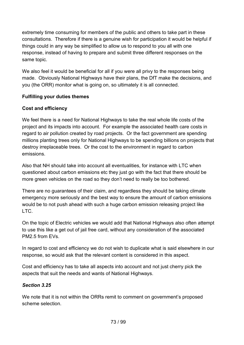extremely time consuming for members of the public and others to take part in these consultations. Therefore if there is a genuine wish for participation it would be helpful if things could in any way be simplified to allow us to respond to you all with one response, instead of having to prepare and submit three different responses on the same topic.

We also feel it would be beneficial for all if you were all privy to the responses being made. Obviously National Highways have their plans, the DfT make the decisions, and you (the ORR) monitor what is going on, so ultimately it is all connected.

#### **Fulfilling your duties themes**

#### **Cost and efficiency**

We feel there is a need for National Highways to take the real whole life costs of the project and its impacts into account. For example the associated health care costs in regard to air pollution created by road projects. Or the fact government are spending millions planting trees only for National Highways to be spending billions on projects that destroy irreplaceable trees. Or the cost to the environment in regard to carbon emissions.

Also that NH should take into account all eventualities, for instance with LTC when questioned about carbon emissions etc they just go with the fact that there should be more green vehicles on the road so they don't need to really be too bothered.

There are no guarantees of their claim, and regardless they should be taking climate emergency more seriously and the best way to ensure the amount of carbon emissions would be to not push ahead with such a huge carbon emission releasing project like LTC.

On the topic of Electric vehicles we would add that National Highways also often attempt to use this like a get out of jail free card, without any consideration of the associated PM2.5 from EVs.

In regard to cost and efficiency we do not wish to duplicate what is said elsewhere in our response, so would ask that the relevant content is considered in this aspect.

Cost and efficiency has to take all aspects into account and not just cherry pick the aspects that suit the needs and wants of National Highways.

#### *Section 3.25*

We note that it is not within the ORRs remit to comment on government's proposed scheme selection.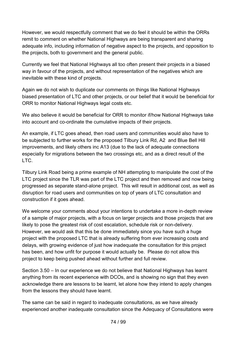However, we would respectfully comment that we do feel it should be within the ORRs remit to comment on whether National Highways are being transparent and sharing adequate info, including information of negative aspect to the projects, and opposition to the projects, both to government and the general public.

Currently we feel that National Highways all too often present their projects in a biased way in favour of the projects, and without representation of the negatives which are inevitable with these kind of projects.

Again we do not wish to duplicate our comments on things like National Highways biased presentation of LTC and other projects, or our belief that it would be beneficial for ORR to monitor National Highways legal costs etc.

We also believe it would be beneficial for ORR to monitor if/how National Highways take into account and co-ordinate the cumulative impacts of their projects.

An example, if LTC goes ahead, then road users and communities would also have to be subjected to further works for the proposed Tilbury Link Rd, A2 and Blue Bell Hill improvements, and likely others inc A13 (due to the lack of adequate connections especially for migrations between the two crossings etc, and as a direct result of the LTC.

Tilbury Link Road being a prime example of NH attempting to manipulate the cost of the LTC project since the TLR was part of the LTC project and then removed and now being progressed as separate stand-alone project. This will result in additional cost, as well as disruption for road users and communities on top of years of LTC consultation and construction if it goes ahead.

We welcome your comments about your intentions to undertake a more in-depth review of a sample of major projects, with a focus on larger projects and those projects that are likely to pose the greatest risk of cost escalation, schedule risk or non-delivery. However, we would ask that this be done immediately since you have such a huge project with the proposed LTC that is already suffering from ever increasing costs and delays, with growing evidence of just how inadequate the consultation for this project has been, and how unfit for purpose it would actually be. Please do not allow this project to keep being pushed ahead without further and full review.

Section 3.50 – In our experience we do not believe that National Highways has learnt anything from its recent experience with DCOs, and is showing no sign that they even acknowledge there are lessons to be learnt, let alone how they intend to apply changes from the lessons they should have learnt.

The same can be said in regard to inadequate consultations, as we have already experienced another inadequate consultation since the Adequacy of Consultations were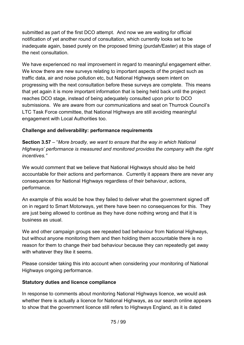submitted as part of the first DCO attempt. And now we are waiting for official notification of yet another round of consultation, which currently looks set to be inadequate again, based purely on the proposed timing (purdah/Easter) at this stage of the next consultation.

We have experienced no real improvement in regard to meaningful engagement either. We know there are new surveys relating to important aspects of the project such as traffic data, air and noise pollution etc, but National Highways seem intent on progressing with the next consultation before these surveys are complete. This means that yet again it is more important information that is being held back until the project reaches DCO stage, instead of being adequately consulted upon prior to DCO submissions. We are aware from our communications and seat on Thurrock Council's LTC Task Force committee, that National Highways are still avoiding meaningful engagement with Local Authorities too.

#### **Challenge and deliverability: performance requirements**

**Section 3.57** – "*More broadly, we want to ensure that the way in which National Highways' performance is measured and monitored provides the company with the right incentives."*

We would comment that we believe that National Highways should also be held accountable for their actions and performance. Currently it appears there are never any consequences for National Highways regardless of their behaviour, actions, performance.

An example of this would be how they failed to deliver what the government signed off on in regard to Smart Motorways, yet there have been no consequences for this. They are just being allowed to continue as they have done nothing wrong and that it is business as usual.

We and other campaign groups see repeated bad behaviour from National Highways, but without anyone monitoring them and then holding them accountable there is no reason for them to change their bad behaviour because they can repeatedly get away with whatever they like it seems.

Please consider taking this into account when considering your monitoring of National Highways ongoing performance.

## **Statutory duties and licence compliance**

In response to comments about monitoring National Highways licence, we would ask whether there is actually a licence for National Highways, as our search online appears to show that the government licence still refers to Highways England, as it is dated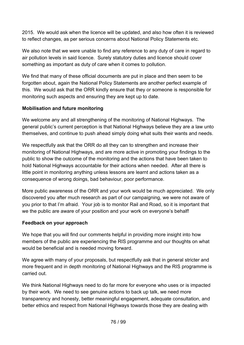2015. We would ask when the licence will be updated, and also how often it is reviewed to reflect changes, as per serious concerns about National Policy Statements etc.

We also note that we were unable to find any reference to any duty of care in regard to air pollution levels in said licence. Surely statutory duties and licence should cover something as important as duty of care when it comes to pollution.

We find that many of these official documents are put in place and then seem to be forgotten about, again the National Policy Statements are another perfect example of this. We would ask that the ORR kindly ensure that they or someone is responsible for monitoring such aspects and ensuring they are kept up to date.

#### **Mobilisation and future monitoring**

We welcome any and all strengthening of the monitoring of National Highways. The general public's current perception is that National Highways believe they are a law unto themselves, and continue to push ahead simply doing what suits their wants and needs.

We respectfully ask that the ORR do all they can to strengthen and increase their monitoring of National Highways, and are more active in promoting your findings to the public to show the outcome of the monitoring and the actions that have been taken to hold National Highways accountable for their actions when needed. After all there is little point in monitoring anything unless lessons are learnt and actions taken as a consequence of wrong doings, bad behaviour, poor performance.

More public awareness of the ORR and your work would be much appreciated. We only discovered you after much research as part of our campaigning, we were not aware of you prior to that I'm afraid. Your job is to monitor Rail and Road, so it is important that we the public are aware of your position and your work on everyone's behalf!

#### **Feedback on your approach**

We hope that you will find our comments helpful in providing more insight into how members of the public are experiencing the RIS programme and our thoughts on what would be beneficial and is needed moving forward.

We agree with many of your proposals, but respectfully ask that in general stricter and more frequent and in depth monitoring of National Highways and the RIS programme is carried out.

We think National Highways need to do far more for everyone who uses or is impacted by their work. We need to see genuine actions to back up talk, we need more transparency and honesty, better meaningful engagement, adequate consultation, and better ethics and respect from National Highways towards those they are dealing with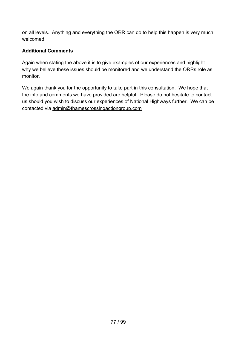on all levels. Anything and everything the ORR can do to help this happen is very much welcomed.

#### **Additional Comments**

Again when stating the above it is to give examples of our experiences and highlight why we believe these issues should be monitored and we understand the ORRs role as monitor.

We again thank you for the opportunity to take part in this consultation. We hope that the info and comments we have provided are helpful. Please do not hesitate to contact us should you wish to discuss our experiences of National Highways further. We can be contacted via [admin@thamescrossingactiongroup.com](mailto:admin@thamescrossingactiongroup.com)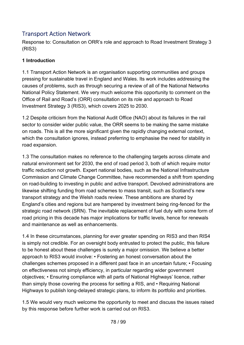## Transport Action Network

Response to: Consultation on ORR's role and approach to Road Investment Strategy 3 (RIS3)

#### **1 Introduction**

1.1 Transport Action Network is an organisation supporting communities and groups pressing for sustainable travel in England and Wales. Its work includes addressing the causes of problems, such as through securing a review of all of the National Networks National Policy Statement. We very much welcome this opportunity to comment on the Office of Rail and Road's (ORR) consultation on its role and approach to Road Investment Strategy 3 (RIS3), which covers 2025 to 2030.

1.2 Despite criticism from the National Audit Office (NAO) about its failures in the rail sector to consider wider public value, the ORR seems to be making the same mistake on roads. This is all the more significant given the rapidly changing external context, which the consultation ignores, instead preferring to emphasise the need for stability in road expansion.

1.3 The consultation makes no reference to the challenging targets across climate and natural environment set for 2030, the end of road period 3, both of which require motor traffic reduction not growth. Expert national bodies, such as the National Infrastructure Commission and Climate Change Committee, have recommended a shift from spending on road-building to investing in public and active transport. Devolved administrations are likewise shifting funding from road schemes to mass transit, such as Scotland's new transport strategy and the Welsh roads review. These ambitions are shared by England's cities and regions but are hampered by investment being ring-fenced for the strategic road network (SRN). The inevitable replacement of fuel duty with some form of road pricing in this decade has major implications for traffic levels, hence for renewals and maintenance as well as enhancements.

1.4 In these circumstances, planning for ever greater spending on RIS3 and then RIS4 is simply not credible. For an oversight body entrusted to protect the public, this failure to be honest about these challenges is surely a major omission. We believe a better approach to RIS3 would involve: • Fostering an honest conversation about the challenges schemes proposed in a different past face in an uncertain future; • Focusing on effectiveness not simply efficiency, in particular regarding wider government objectives; • Ensuring compliance with all parts of National Highways' licence, rather than simply those covering the process for setting a RIS, and • Requiring National Highways to publish long-delayed strategic plans, to inform its portfolio and priorities.

1.5 We would very much welcome the opportunity to meet and discuss the issues raised by this response before further work is carried out on RIS3.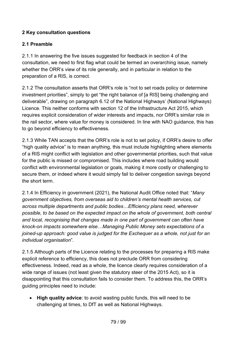## **2 Key consultation questions**

## **2.1 Preamble**

2.1.1 In answering the five issues suggested for feedback in section 4 of the consultation, we need to first flag what could be termed an overarching issue, namely whether the ORR's view of its role generally, and in particular in relation to the preparation of a RIS, is correct.

2.1.2 The consultation asserts that ORR's role is "not to set roads policy or determine investment priorities", simply to get "the right balance of [a RIS] being challenging and deliverable", drawing on paragraph 6.12 of the National Highways' (National Highways) Licence. This neither conforms with section 12 of the Infrastructure Act 2015, which requires explicit consideration of wider interests and impacts, nor ORR's similar role in the rail sector, where value for money is considered. In line with NAO guidance, this has to go beyond efficiency to effectiveness.

2.1.3 While TAN accepts that the ORR's role is not to set policy, if ORR's desire to offer "high quality advice" is to mean anything, this must include highlighting where elements of a RIS might conflict with legislation and other governmental priorities, such that value for the public is missed or compromised. This includes where road building would conflict with environmental legislation or goals, making it more costly or challenging to secure them, or indeed where it would simply fail to deliver congestion savings beyond the short term.

2.1.4 In Efficiency in government (2021), the National Audit Office noted that: "*Many government objectives, from overseas aid to children's mental health services, cut across multiple departments and public bodies…Efficiency plans need, wherever possible, to be based on the expected impact on the whole of government, both central and local, recognising that changes made in one part of government can often have knock-on impacts somewhere else…Managing Public Money sets expectations of a joined-up approach: good value is judged for the Exchequer as a whole, not just for an individual organisation*".

2.1.5 Although parts of the Licence relating to the processes for preparing a RIS make explicit reference to efficiency, this does not preclude ORR from considering effectiveness. Indeed, read as a whole, the licence clearly requires consideration of a wide range of issues (not least given the statutory steer of the 2015 Act), so it is disappointing that this consultation fails to consider them. To address this, the ORR's guiding principles need to include:

• **High quality advice**: to avoid wasting public funds, this will need to be challenging at times, to DfT as well as National Highways.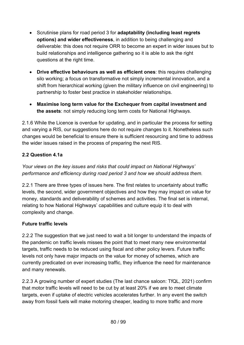- Scrutinise plans for road period 3 for **adaptability (including least regrets options) and wider effectiveness**, in addition to being challenging and deliverable: this does not require ORR to become an expert in wider issues but to build relationships and intelligence gathering so it is able to ask the right questions at the right time.
- **Drive effective behaviours as well as efficient ones**: this requires challenging silo working; a focus on transformative not simply incremental innovation, and a shift from hierarchical working (given the military influence on civil engineering) to partnership to foster best practice in stakeholder relationships.
- **Maximise long term value for the Exchequer from capital investment and the assets**: not simply reducing long term costs for National Highways.

2.1.6 While the Licence is overdue for updating, and in particular the process for setting and varying a RIS, our suggestions here do not require changes to it. Nonetheless such changes would be beneficial to ensure there is sufficient resourcing and time to address the wider issues raised in the process of preparing the next RIS.

## **2.2 Question 4.1a**

*Your views on the key issues and risks that could impact on National Highways' performance and efficiency during road period 3 and how we should address them.* 

2.2.1 There are three types of issues here. The first relates to uncertainty about traffic levels, the second, wider government objectives and how they may impact on value for money, standards and deliverability of schemes and activities. The final set is internal, relating to how National Highways' capabilities and culture equip it to deal with complexity and change.

## **Future traffic levels**

2.2.2 The suggestion that we just need to wait a bit longer to understand the impacts of the pandemic on traffic levels misses the point that to meet many new environmental targets, traffic needs to be reduced using fiscal and other policy levers. Future traffic levels not only have major impacts on the value for money of schemes, which are currently predicated on ever increasing traffic, they influence the need for maintenance and many renewals.

2.2.3 A growing number of expert studies (The last chance saloon: TfQL, 2021) confirm that motor traffic levels will need to be cut by at least 20% if we are to meet climate targets, even if uptake of electric vehicles accelerates further. In any event the switch away from fossil fuels will make motoring cheaper, leading to more traffic and more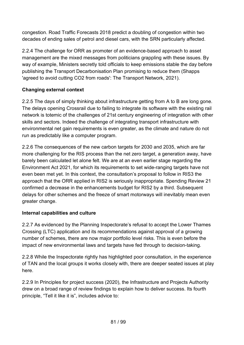congestion. Road Traffic Forecasts 2018 predict a doubling of congestion within two decades of ending sales of petrol and diesel cars, with the SRN particularly affected.

2.2.4 The challenge for ORR as promoter of an evidence-based approach to asset management are the mixed messages from politicians grappling with these issues. By way of example, Ministers secretly told officials to keep emissions stable the day before publishing the Transport Decarbonisation Plan promising to reduce them (Shapps 'agreed to avoid cutting CO2 from roads': The Transport Network, 2021).

#### **Changing external context**

2.2.5 The days of simply thinking about infrastructure getting from A to B are long gone. The delays opening Crossrail due to failing to integrate its software with the existing rail network is totemic of the challenges of 21st century engineering of integration with other skills and sectors. Indeed the challenge of integrating transport infrastructure with environmental net gain requirements is even greater, as the climate and nature do not run as predictably like a computer program.

2.2.6 The consequences of the new carbon targets for 2030 and 2035, which are far more challenging for the RIS process than the net zero target, a generation away, have barely been calculated let alone felt. We are at an even earlier stage regarding the Environment Act 2021, for which its requirements to set wide-ranging targets have not even been met yet. In this context, the consultation's proposal to follow in RIS3 the approach that the ORR applied in RIS2 is seriously inappropriate. Spending Review 21 confirmed a decrease in the enhancements budget for RIS2 by a third. Subsequent delays for other schemes and the freeze of smart motorways will inevitably mean even greater change.

#### **Internal capabilities and culture**

2.2.7 As evidenced by the Planning Inspectorate's refusal to accept the Lower Thames Crossing (LTC) application and its recommendations against approval of a growing number of schemes, there are now major portfolio level risks. This is even before the impact of new environmental laws and targets have fed through to decision-taking.

2.2.8 While the Inspectorate rightly has highlighted poor consultation, in the experience of TAN and the local groups it works closely with, there are deeper seated issues at play here.

2.2.9 In Principles for project success (2020), the Infrastructure and Projects Authority drew on a broad range of review findings to explain how to deliver success. Its fourth principle, "Tell it like it is", includes advice to: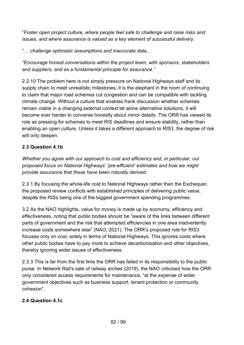"*Foster open project culture, where people feel safe to challenge and raise risks and issues, and where assurance is valued as a key element of successful delivery.* 

*"… challenge optimistic assumptions and inaccurate data...* 

*"Encourage honest conversations within the project team, with sponsors, stakeholders and suppliers, and as a fundamental principle for assurance."* 

2.2.10 The problem here is not simply pressure on National Highways staff and its supply chain to meet unrealistic milestones, it is the elephant in the room of continuing to claim that major road schemes cut congestion and can be compatible with tackling climate change. Without a culture that enables frank discussion whether schemes remain viable in a changing external context let alone alternative solutions, it will become ever harder to converse honestly about minor details. The ORR has viewed its role as pressing for schemes to meet RIS deadlines and ensure stability, rather than enabling an open culture. Unless it takes a different approach to RIS3, the degree of risk will only deepen.

## **2.3 Question 4.1b**

*Whether you agree with our approach to cost and efficiency and, in particular, our proposed focus on National Highways' 'pre-efficient' estimates and how we might provide assurance that these have been robustly derived.*

2.3.1 By focusing the whole-life cost to National Highways rather than the Exchequer, the proposed review conflicts with established principles of delivering public value, despite the RISs being one of the biggest government spending programmes.

3.2 As the NAO highlights, value for money is made up by economy, efficiency and effectiveness, noting that public bodies should be "aware of the links between different parts of government and the risk that attempted efficiencies in one area inadvertently increase costs somewhere else" (NAO, 2021). The ORR's proposed role for RIS3 focuses only on cost, solely in terms of National Highways. This ignores costs where other public bodies have to pay more to achieve decarbonisation and other objectives, thereby ignoring wider issues of effectiveness.

2.3.3 This is far from the first time the ORR has failed in its responsibility to the public purse. In Network Rail's sale of railway arches (2019), the NAO criticised how the ORR only considered access requirements for maintenance, "at the expense of wider government objectives such as business support, tenant protection or community cohesion".

#### **2.4 Question 4.1c**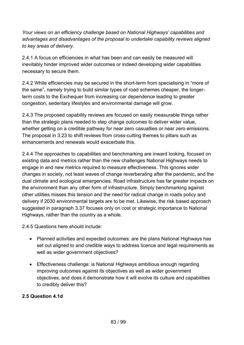*Your views on an efficiency challenge based on National Highways' capabilities and advantages and disadvantages of the proposal to undertake capability reviews aligned to key areas of delivery.*

2.4.1 A focus on efficiencies in what has been and can easily be measured will inevitably hinder improved wider outcomes or indeed developing wider capabilities necessary to secure them.

2.4.2 While efficiencies may be secured in the short-term from specialising in "more of the same", namely trying to build similar types of road schemes cheaper, the longerterm costs to the Exchequer from increasing car dependence leading to greater congestion, sedentary lifestyles and environmental damage will grow.

2.4.3 The proposed capability reviews are focused on easily measurable things rather than the strategic plans needed to step change outcomes to deliver wider value, whether getting on a credible pathway for near zero casualties or near zero emissions. The proposal in 3.23 to shift reviews from cross-cutting themes to pillars such as enhancements and renewals would exacerbate this.

2.4.4 The approaches to capabilities and benchmarking are inward looking, focused on existing data and metrics rather than the new challenges National Highways needs to engage in and new metrics required to measure effectiveness. This ignores wider changes in society, not least waves of change reverberating after the pandemic, and the dual climate and ecological emergencies. Road infrastructure has far greater impacts on the environment than any other form of infrastructure. Simply benchmarking against other utilities misses this tension and the need for radical change in roads policy and delivery if 2030 environmental targets are to be met. Likewise, the risk based approach suggested in paragraph 3.37 focuses only on cost or strategic importance to National Highways, rather than the country as a whole.

2.4.5 Questions here should include:

- Planned activities and expected outcomes: are the plans National Highways has set out aligned to and credible ways to address licence and legal requirements as well as wider government objectives?
- Effectiveness challenge: is National Highways ambitious enough regarding improving outcomes against its objectives as well as wider government objectives, and does it demonstrate how it will evolve its culture and capabilities to credibly deliver this?

#### **2.5 Question 4.1d**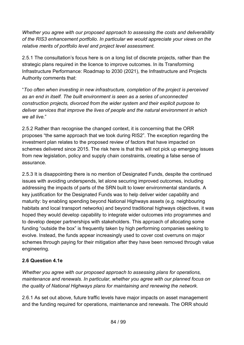*Whether you agree with our proposed approach to assessing the costs and deliverability of the RIS3 enhancement portfolio. In particular we would appreciate your views on the relative merits of portfolio level and project level assessment.*

2.5.1 The consultation's focus here is on a long list of discrete projects, rather than the strategic plans required in the licence to improve outcomes. In its Transforming Infrastructure Performance: Roadmap to 2030 (2021), the Infrastructure and Projects Authority comments that:

"*Too often when investing in new infrastructure, completion of the project is perceived as an end in itself. The built environment is seen as a series of unconnected construction projects, divorced from the wider system and their explicit purpose to deliver services that improve the lives of people and the natural environment in which we all live.*"

2.5.2 Rather than recognise the changed context, it is concerning that the ORR proposes "the same approach that we took during RIS2". The exception regarding the investment plan relates to the proposed review of factors that have impacted on schemes delivered since 2015. The risk here is that this will not pick up emerging issues from new legislation, policy and supply chain constraints, creating a false sense of assurance.

2.5.3 It is disappointing there is no mention of Designated Funds, despite the continued issues with avoiding underspends, let alone securing improved outcomes, including addressing the impacts of parts of the SRN built to lower environmental standards. A key justification for the Designated Funds was to help deliver wider capability and maturity: by enabling spending beyond National Highways assets (e.g. neighbouring habitats and local transport networks) and beyond traditional highways objectives, it was hoped they would develop capability to integrate wider outcomes into programmes and to develop deeper partnerships with stakeholders. This approach of allocating some funding "outside the box" is frequently taken by high performing companies seeking to evolve. Instead, the funds appear increasingly used to cover cost overruns on major schemes through paying for their mitigation after they have been removed through value engineering.

## **2.6 Question 4.1e**

*Whether you agree with our proposed approach to assessing plans for operations, maintenance and renewals. In particular, whether you agree with our planned focus on the quality of National Highways plans for maintaining and renewing the network.*

2.6.1 As set out above, future traffic levels have major impacts on asset management and the funding required for operations, maintenance and renewals. The ORR should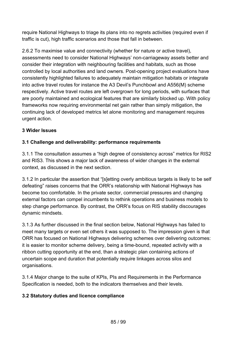require National Highways to triage its plans into no regrets activities (required even if traffic is cut), high traffic scenarios and those that fall in between.

2.6.2 To maximise value and connectivity (whether for nature or active travel), assessments need to consider National Highways' non-carriageway assets better and consider their integration with neighbouring facilities and habitats, such as those controlled by local authorities and land owners. Post-opening project evaluations have consistently highlighted failures to adequately maintain mitigation habitats or integrate into active travel routes for instance the A3 Devil's Punchbowl and A556(M) scheme respectively. Active travel routes are left overgrown for long periods, with surfaces that are poorly maintained and ecological features that are similarly blocked up. With policy frameworks now requiring environmental net gain rather than simply mitigation, the continuing lack of developed metrics let alone monitoring and management requires urgent action.

#### **3 Wider Issues**

## **3.1 Challenge and deliverability: performance requirements**

3.1.1 The consultation assumes a "high degree of consistency across" metrics for RIS2 and RIS3. This shows a major lack of awareness of wider changes in the external context, as discussed in the next section.

3.1.2 In particular the assertion that "[s]etting overly ambitious targets is likely to be self defeating" raises concerns that the ORR's relationship with National Highways has become too comfortable. In the private sector, commercial pressures and changing external factors can compel incumbents to rethink operations and business models to step change performance. By contrast, the ORR's focus on RIS stability discourages dynamic mindsets.

3.1.3 As further discussed in the final section below, National Highways has failed to meet many targets or even set others it was supposed to. The impression given is that ORR has focused on National Highways delivering schemes over delivering outcomes: it is easier to monitor scheme delivery, being a time-bound, repeated activity with a ribbon cutting opportunity at the end, than a strategic plan containing actions of uncertain scope and duration that potentially require linkages across silos and organisations.

3.1.4 Major change to the suite of KPIs, PIs and Requirements in the Performance Specification is needed, both to the indicators themselves and their levels.

#### **3.2 Statutory duties and licence compliance**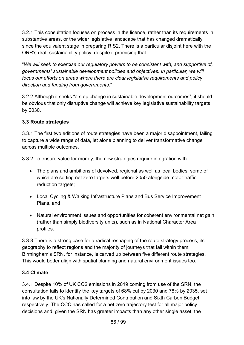3.2.1 This consultation focuses on process in the licence, rather than its requirements in substantive areas, or the wider legislative landscape that has changed dramatically since the equivalent stage in preparing RIS2. There is a particular disjoint here with the ORR's draft sustainability policy, despite it promising that:

"*We will seek to exercise our regulatory powers to be consistent with, and supportive of, governments' sustainable development policies and objectives. In particular, we will focus our efforts on areas where there are clear legislative requirements and policy direction and funding from governments.*"

3.2.2 Although it seeks "a step change in sustainable development outcomes", it should be obvious that only disruptive change will achieve key legislative sustainability targets by 2030.

## **3.3 Route strategies**

3.3.1 The first two editions of route strategies have been a major disappointment, failing to capture a wide range of data, let alone planning to deliver transformative change across multiple outcomes.

3.3.2 To ensure value for money, the new strategies require integration with:

- The plans and ambitions of devolved, regional as well as local bodies, some of which are setting net zero targets well before 2050 alongside motor traffic reduction targets;
- Local Cycling & Walking Infrastructure Plans and Bus Service Improvement Plans, and
- Natural environment issues and opportunities for coherent environmental net gain (rather than simply biodiversity units), such as in National Character Area profiles.

3.3.3 There is a strong case for a radical reshaping of the route strategy process, its geography to reflect regions and the majority of journeys that fall within them: Birmingham's SRN, for instance, is carved up between five different route strategies. This would better align with spatial planning and natural environment issues too.

## **3.4 Climate**

3.4.1 Despite 10% of UK CO2 emissions in 2019 coming from use of the SRN, the consultation fails to identify the key targets of 68% cut by 2030 and 78% by 2035, set into law by the UK's Nationally Determined Contribution and Sixth Carbon Budget respectively. The CCC has called for a net zero trajectory test for all major policy decisions and, given the SRN has greater impacts than any other single asset, the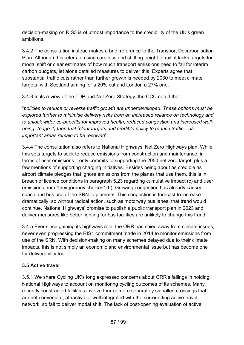decision-making on RIS3 is of utmost importance to the credibility of the UK's green ambitions.

3.4.2 The consultation instead makes a brief reference to the Transport Decarbonisation Plan. Although this refers to using cars less and shifting freight to rail, it lacks targets for modal shift or clear estimates of how much transport emissions need to fall for interim carbon budgets, let alone detailed measures to deliver this. Experts agree that substantial traffic cuts rather than further growth is needed by 2030 to meet climate targets, with Scotland aiming for a 20% cut and London a 27% one.

3.4.3 In its review of the TDP and Net Zero Strategy, the CCC noted that:

"*policies to reduce or reverse traffic growth are underdeveloped. These options must be explored further to minimise delivery risks from an increased reliance on technology and to unlock wider co-benefits for improved health, reduced congestion and increased wellbeing" (page 4) then that "clear targets and credible policy to reduce traffic…as important areas remain to be resolved*".

3.4.4 The consultation also refers to National Highways' Net Zero Highways plan. While this sets targets to seek to reduce emissions from construction and maintenance, in terms of user emissions it only commits to supporting the 2050 net zero target, plus a few mentions of supporting charging initiatives. Besides being about as credible as airport climate pledges that ignore emissions from the planes that use them, this is in breach of licence conditions in paragraph 5.23 regarding cumulative impact (c) and user emissions from "their journey choices" (h). Growing congestion has already caused coach and bus use of the SRN to plummet. This congestion is forecast to increase dramatically, so without radical action, such as motorway bus lanes, that trend would continue. National Highways' promise to publish a public transport plan in 2023 and deliver measures like better lighting for bus facilities are unlikely to change this trend.

3.4.5 Ever since gaining its highways role, the ORR has shied away from climate issues, never even progressing the RIS1 commitment made in 2014 to monitor emissions from use of the SRN. With decision-making on many schemes delayed due to their climate impacts, this is not simply an economic and environmental issue but has become one for deliverability too.

## **3.5 Active travel**

3.5.1 We share Cycling UK's long expressed concerns about ORR's failings in holding National Highways to account on monitoring cycling outcomes of its schemes. Many recently constructed facilities involve four or more separately signalled crossings that are not convenient, attractive or well integrated with the surrounding active travel network, so fail to deliver modal shift. The lack of post-opening evaluation of active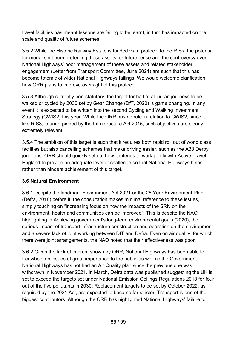travel facilities has meant lessons are failing to be learnt, in turn has impacted on the scale and quality of future schemes.

3.5.2 While the Historic Railway Estate is funded via a protocol to the RISs, the potential for modal shift from protecting these assets for future reuse and the controversy over National Highways' poor management of these assets and related stakeholder engagement (Letter from Transport Committee, June 2021) are such that this has become totemic of wider National Highways failings. We would welcome clarification how ORR plans to improve oversight of this protocol

3.5.3 Although currently non-statutory, the target for half of all urban journeys to be walked or cycled by 2030 set by Gear Change (DfT, 2020) is game changing. In any event it is expected to be written into the second Cycling and Walking Investment Strategy (CWIS2) this year. While the ORR has no role in relation to CWIS2, since it, like RIS3, is underpinned by the Infrastructure Act 2015, such objectives are clearly extremely relevant.

3.5.4 The ambition of this target is such that it requires both rapid roll out of world class facilities but also cancelling schemes that make driving easier, such as the A38 Derby junctions. ORR should quickly set out how it intends to work jointly with Active Travel England to provide an adequate level of challenge so that National Highways helps rather than hinders achievement of this target.

## **3.6 Natural Environment**

3.6.1 Despite the landmark Environment Act 2021 or the 25 Year Environment Plan (Defra, 2018) before it, the consultation makes minimal reference to these issues, simply touching on "increasing focus on how the impacts of the SRN on the environment, health and communities can be improved". This is despite the NAO highlighting in Achieving government's long-term environmental goals (2020), the serious impact of transport infrastructure construction and operation on the environment and a severe lack of joint working between DfT and Defra. Even on air quality, for which there were joint arrangements, the NAO noted that their effectiveness was poor.

3.6.2 Given the lack of interest shown by ORR, National Highways has been able to freewheel on issues of great importance to the public as well as the Government. National Highways has not had an Air Quality plan since the previous one was withdrawn in November 2021. In March, Defra data was published suggesting the UK is set to exceed the targets set under National Emission Ceilings Regulations 2018 for four out of the five pollutants in 2030. Replacement targets to be set by October 2022, as required by the 2021 Act, are expected to become far stricter. Transport is one of the biggest contributors. Although the ORR has highlighted National Highways' failure to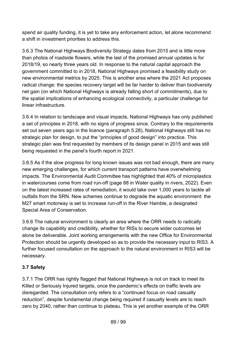spend air quality funding, it is yet to take any enforcement action, let alone recommend a shift in investment priorities to address this.

3.6.3 The National Highways Biodiversity Strategy dates from 2015 and is little more than photos of roadside flowers, while the last of the promised annual updates is for 2018/19, so nearly three years old. In response to the natural capital approach the government committed to in 2018, National Highways promised a feasibility study on new environmental metrics by 2025. This is another area where the 2021 Act proposes radical change: the species recovery target will be far harder to deliver than biodiversity net gain (on which National Highways is already falling short of commitments), due to the spatial implications of enhancing ecological connectivity, a particular challenge for linear infrastructure.

3.6.4 In relation to landscape and visual impacts, National Highways has only published a set of principles in 2018, with no signs of progress since. Contrary to the requirements set out seven years ago in the licence (paragraph 5.28), National Highways still has no strategic plan for design, to put the "principles of good design" into practice. This strategic plan was first requested by members of its design panel in 2015 and was still being requested in the panel's fourth report in 2021.

3.6.5 As if the slow progress for long known issues was not bad enough, there are many new emerging challenges, for which current transport patterns have overwhelming impacts. The Environmental Audit Committee has highlighted that 40% of microplastics in watercourses come from road run-off (page 88 in Water quality in rivers, 2022). Even on the latest increased rates of remediation, it would take over 1,000 years to tackle all outfalls from the SRN. New schemes continue to degrade the aquatic environment: the M27 smart motorway is set to increase run-off in the River Hamble, a designated Special Area of Conservation.

3.6.6 The natural environment is clearly an area where the ORR needs to radically change its capability and credibility, whether for RISs to secure wider outcomes let alone be deliverable. Joint working arrangements with the new Office for Environmental Protection should be urgently developed so as to provide the necessary input to RIS3. A further focused consultation on the approach to the natural environment in RIS3 will be necessary.

## **3.7 Safety**

3.7.1 The ORR has rightly flagged that National Highways is not on track to meet its Killed or Seriously Injured targets, once the pandemic's effects on traffic levels are disregarded. The consultation only refers to a "continued focus on road casualty reduction", despite fundamental change being required if casualty levels are to reach zero by 2040, rather than continue to plateau. This is yet another example of the ORR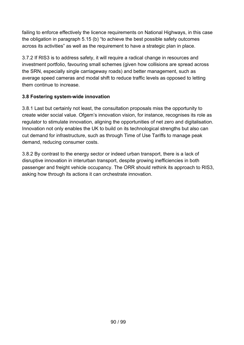failing to enforce effectively the licence requirements on National Highways, in this case the obligation in paragraph 5.15 (b) "to achieve the best possible safety outcomes across its activities" as well as the requirement to have a strategic plan in place.

3.7.2 If RIS3 is to address safety, it will require a radical change in resources and investment portfolio, favouring small schemes (given how collisions are spread across the SRN, especially single carriageway roads) and better management, such as average speed cameras and modal shift to reduce traffic levels as opposed to letting them continue to increase.

## **3.8 Fostering system-wide innovation**

3.8.1 Last but certainly not least, the consultation proposals miss the opportunity to create wider social value. Ofgem's innovation vision, for instance, recognises its role as regulator to stimulate innovation, aligning the opportunities of net zero and digitalisation. Innovation not only enables the UK to build on its technological strengths but also can cut demand for infrastructure, such as through Time of Use Tariffs to manage peak demand, reducing consumer costs.

3.8.2 By contrast to the energy sector or indeed urban transport, there is a lack of disruptive innovation in interurban transport, despite growing inefficiencies in both passenger and freight vehicle occupancy. The ORR should rethink its approach to RIS3, asking how through its actions it can orchestrate innovation.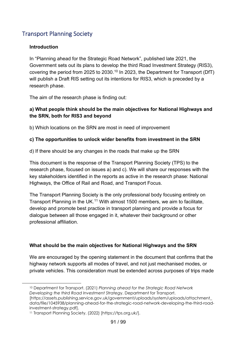# Transport Planning Society

#### **Introduction**

In "Planning ahead for the Strategic Road Network", published late 2021, the Government sets out its plans to develop the third Road Investment Strategy (RIS3), covering the period from 2025 to 2030.[10](#page-90-0) In 2023, the Department for Transport (DfT) will publish a Draft RIS setting out its intentions for RIS3, which is preceded by a research phase.

The aim of the research phase is finding out:

#### **a) What people think should be the main objectives for National Highways and the SRN, both for RIS3 and beyond**

b) Which locations on the SRN are most in need of improvement

#### **c) The opportunities to unlock wider benefits from investment in the SRN**

d) If there should be any changes in the roads that make up the SRN

This document is the response of the Transport Planning Society (TPS) to the research phase, focused on issues a) and c). We will share our responses with the key stakeholders identified in the reports as active in the research phase: National Highways, the Office of Rail and Road, and Transport Focus.

The Transport Planning Society is the only professional body focusing entirely on Transport Planning in the UK.<sup>[11](#page-90-1)</sup> With almost 1500 members, we aim to facilitate, develop and promote best practice in transport planning and provide a focus for dialogue between all those engaged in it, whatever their background or other professional affiliation.

#### **What should be the main objectives for National Highways and the SRN**

We are encouraged by the opening statement in the document that confirms that the highway network supports all modes of travel, and not just mechanised modes, or private vehicles. This consideration must be extended across purposes of trips made

<span id="page-90-0"></span><sup>10</sup> Department for Transport. (2021) *Planning ahead for the Strategic Road Network Developing the third Road Investment Strateg*y. Department for Transport.

<sup>[</sup>https://assets.publishing.service.gov.uk/government/uploads/system/uploads/attachment\_ data/file/1045938/planning-ahead-for-the-strategic-road-network-developing-the-third-roadinvestment-strategy.pdf].

<span id="page-90-1"></span><sup>11</sup> Transport Planning Society. (2022) [https://tps.org.uk/].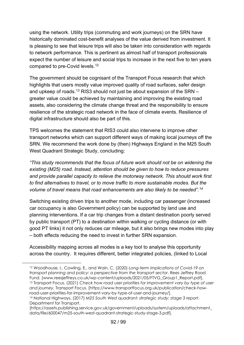using the network. Utility trips (commuting and work journeys) on the SRN have historically dominated cost-benefit analyses of the value derived from investment. It is pleasing to see that leisure trips will also be taken into consideration with regards to network performance. This is pertinent as almost half of transport professionals expect the number of leisure and social trips to increase in the next five to ten years compared to pre-Covid levels.<sup>12</sup>

The government should be cognisant of the Transport Focus research that which highlights that users mostly value improved quality of road surfaces, safer design and upkeep of roads.<sup>[13](#page-91-1)</sup> RIS3 should not just be about expansion of the SRN  $$ greater value could be achieved by maintaining and improving the existing road assets, also considering the climate change threat and the responsibility to ensure resilience of the strategic road network in the face of climate events. Resilience of digital infrastructure should also be part of this.

TPS welcomes the statement that RIS3 could also intervene to improve other transport networks which can support different ways of making local journeys off the SRN. We recommend the work done by (then) Highways England in the M25 South West Quadrant Strategic Study, concluding:

*"This study recommends that the focus of future work should not be on widening the existing (M25) road. Instead, attention should be given to how to reduce pressures and provide parallel capacity to relieve the motorway network. This should work first to find alternatives to travel, or to move traffic to more sustainable modes. But the volume of travel means that road enhancements are also likely to be needed".[14](#page-91-2)*

Switching existing driven trips to another mode, including car passenger (increased car occupancy is also Government policy) can be supported by land use and planning interventions. If a car trip changes from a distant destination poorly served by public transport (PT) to a destination within walking or cycling distance (or with good PT links) it not only reduces car mileage, but it also brings new modes into play – both effects reducing the need to invest in further SRN expansion.

Accessibility mapping across all modes is a key tool to analyse this opportunity across the country. It requires different, better integrated policies, (linked to Local

<span id="page-91-0"></span><sup>12</sup> Woodhouse, I., Cowling, E., and Wain, C. (2020) *Long-term implications of Covid-19 on transport planning and policy: a perspective from the transport sector*. Rees Jeffrey Road Fund. [www.reesjeffreys.co.uk/wp-content/uploads/2021/05/FTVG Group1\_Report.pdf]. 13 Transport Focus. (2021) *Check how road user priorities for improvement vary by type of user and journey.* Transport Focus. [https://www.transportfocus.org.uk/publication/check-howroad-user-priorities-for-improvement-vary-by-type-of-user-and-journey/].

<span id="page-91-2"></span><span id="page-91-1"></span><sup>14</sup> National Highways. (2017) *M25 South West quadrant: strategic study: stage 3 report*. Department for Transport.

<sup>[</sup>https://assets.publishing.service.gov.uk/government/uploads/system/uploads/attachment\_ data/file/600047/m25-south-west-quadrant-strategic-study-stage-3.pdf].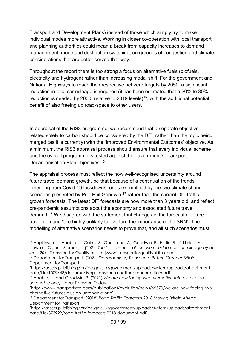Transport and Development Plans) instead of those which simply try to make individual modes more attractive. Working in closer co-operation with local transport and planning authorities could mean a break from capacity increases to demand management, mode and destination switching, on grounds of congestion and climate considerations that are better served that way.

Throughout the report there is too strong a focus on alternative fuels (biofuels, electricity and hydrogen) rather than increasing modal shift. For the government and National Highways to reach their respective net zero targets by 2050, a significant reduction in total car mileage is required (it has been estimated that a 20% to 30% reduction is needed by 2030, relative to 2019 levels)<sup>15</sup>, with the additional potential benefit of also freeing up road-space to other users.

In appraisal of the RIS3 programme, we recommend that a separate objective related solely to carbon should be considered by the DfT, rather than the topic being merged (as it is currently) with the 'Improved Environmental Outcomes' objective. As a minimum, the RIS3 appraisal process should ensure that every individual scheme and the overall programme is tested against the government's Transport Decarbonisation Plan objectives.[16](#page-92-1)

The appraisal process must reflect the now well-recognised uncertainty around future travel demand growth, be that because of a continuation of the trends emerging from Covid 19 lockdowns, or as exemplified by the two climate change scenarios presented by Prof Phil Goodwin,<sup>[17](#page-92-2)</sup> rather than the current DfT traffic growth forecasts. The latest DfT forecasts are now more than 3 years old, and reflect pre-pandemic assumptions about the economy and associated future travel demand.[18](#page-92-3) We disagree with the statement that changes in the forecast of future travel demand "are highly unlikely to overturn the importance of the SRN". The modelling of alternative scenarios needs to prove that, and all such scenarios must

<span id="page-92-0"></span><sup>15</sup> Hopkinson, L., Anable, J., Cairns, S., Goodman, A., Goodwin, P., Hiblin, B., Kirkbride, A., Newson, C., and Sloman, L. (2021) *The last chance saloon: we need to cut car mileage by at least 20%.* Transport for Quality of Life. [www.transportforqualityoflife.com]. 16 Department for Transport. (2021) *Decarbonising Transport a Better, Greener Britain*.

<span id="page-92-1"></span>Department for Transport.

<sup>[</sup>https://assets.publishing.service.gov.uk/government/uploads/system/uploads/attachment\_ data/file/1009448/decarbonising-transport-a-better-greener-britain.pdf].

<span id="page-92-2"></span><sup>17</sup> Anable, J., and Goodwin, P. (2021) *We are now facing two alternative futures (plus an untenable one).* Local Transport Today.

<sup>[</sup>https://www.transportxtra.com/publications/evolution/news/69570/we-are-now-facing-twoalternative-futures-plus-an-untenable-one].

<span id="page-92-3"></span><sup>18</sup> Department for Transport. (2018) *Road Traffic Forecasts 2018 Moving Britain Ahead*. Department for Transport.

<sup>[</sup>https://assets.publishing.service.gov.uk/government/uploads/system/uploads/attachment\_ data/file/873929/road-traffic-forecasts-2018-document.pdf].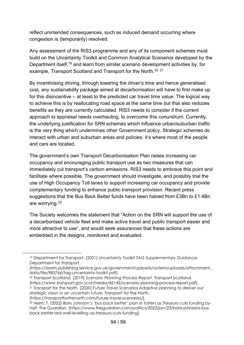reflect unintended consequences, such as induced demand occurring where congestion is (temporarily) resolved.

Any assessment of the RIS3 programme and any of its component schemes must build on the Uncertainty Toolkit and Common Analytical Scenarios developed by the Department itself,[19](#page-93-0) and learn from similar scenario development activities by, for example, Transport Scotland and Transport for the North.<sup>[20](#page-93-1)</sup> <sup>[21](#page-93-2)</sup>

By incentivising driving, through lowering the driver's time and hence generalised cost, any sustainability package aimed at decarbonisation will have to first make up for this disincentive – at least to the predicted car travel time value. The logical way to achieve this is by reallocating road space at the same time but that also reduces benefits as they are currently calculated. RIS3 needs to consider if the current approach to appraisal needs overhauling, to overcome this conundrum. Currently, the underlying justification for SRN schemes which influence urban/suburban traffic is the very thing which undermines other Government policy. Strategic schemes do interact with urban and suburban areas and policies: it's where most of the people and cars are located.

The government's own Transport Decarbonisation Plan raises increasing car occupancy and encouraging public transport use as two measures that can immediately cut transport's carbon emissions. RIS3 needs to embrace this point and facilitate where possible. The government should investigate, and possibly trial the use of High Occupancy Toll lanes to support increasing car occupancy and provide complementary funding to enhance public transport provision. Recent press suggestions that the Bus Back Better funds have been halved from £3Bn to £1.4Bn are worrying.[22](#page-93-3)

The Society welcomes the statement that "Action on the SRN will support the use of a decarbonised vehicle fleet and make active travel and public transport easier and more attractive to use", and would seek assurances that these actions are embedded in the designs, monitored and evaluated.

<span id="page-93-0"></span><sup>19</sup> Department for Transport. (2021) *Uncertainty Toolkit TAG Supplementary Guidance.*  Department for Transport.

<sup>[</sup>https://assets.publishing.service.gov.uk/government/uploads/system/uploads/attachment\_ data/file/983766/tag-uncertainty-toolkit.pdf].

<span id="page-93-1"></span><sup>20</sup> Transport Scotland. (2019) *Scenario Planning Process Report.* Transport Scotland. [https://www.transport.gov.scot/media/45142/scenario-planning-process-report.pdf]. 21 Transport for the North. (2020) *Future Travel Scenarios Adaptive planning to deliver our strategic vision in an uncertain future.* Transport for the North.

<span id="page-93-2"></span><sup>[</sup>https://transportforthenorth.com/future-travel-scenarios/].

<span id="page-93-3"></span><sup>22</sup> Helm, T. (2022) *Boris Johnson's 'bus back better' plan in tatters as Treasury cuts funding by half.* The Guardian. [https://www.theguardian.com/politics/2022/jan/23/boris-johnsons-busback-better-red-wall-levelling-up-treasury-cuts-funding].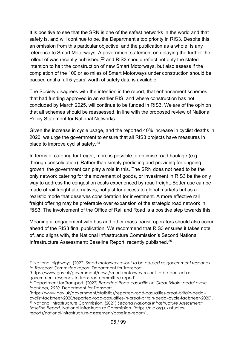It is positive to see that the SRN is one of the safest networks in the world and that safety is, and will continue to be, the Department's top priority in RIS3. Despite this, an omission from this particular objective, and the publication as a whole, is any reference to Smart Motorways. A government statement on delaying the further the rollout of was recently published, $^{23}$  $^{23}$  $^{23}$  and RIS3 should reflect not only the stated intention to halt the construction of new Smart Motorways, but also assess if the completion of the 100 or so miles of Smart Motorways under construction should be paused until a full 5 years' worth of safety data is available.

The Society disagrees with the intention in the report, that enhancement schemes that had funding approved in an earlier RIS, and where construction has not concluded by March 2025, will continue to be funded in RIS3. We are of the opinion that all schemes should be reassessed, in line with the proposed review of National Policy Statement for National Networks.

Given the increase in cycle usage, and the reported 40% increase in cyclist deaths in 2020, we urge the government to ensure that all RIS3 projects have measures in place to improve cyclist safety.[24](#page-94-1)

In terms of catering for freight, more is possible to optimise road haulage (e.g. through consolidation). Rather than simply predicting and providing for ongoing growth; the government can play a role in this. The SRN does not need to be the only network catering for the movement of goods, or investment in RIS3 be the only way to address the congestion costs experienced by road freight. Better use can be made of rail freight alternatives, not just for access to global markets but as a realistic mode that deserves consideration for investment. A more effective rail freight offering may be preferable over expansion of the strategic road network in RIS3. The involvement of the Office of Rail and Road is a positive step towards this.

Meaningful engagement with bus and other mass transit operators should also occur ahead of the RIS3 final publication. We recommend that RIS3 ensures it takes note of, and aligns with, the National Infrastructure Commission's Second National Infrastructure Assessment: Baseline Report, recently published.[25](#page-94-2) 

<span id="page-94-0"></span><sup>23</sup> National Highways. (2022) *Smart motorway rollout to be paused as government responds to Transport Committee report.* Department for Transport*.* 

<sup>[</sup>https://www.gov.uk/government/news/smart-motorway-rollout-to-be-paused-as-<br>government-responds-to-transport-committee-report].

<span id="page-94-1"></span><sup>&</sup>lt;sup>24</sup> Department for Transport. (2022) Reported Road casualties in Great Britain: pedal cycle *factsheet, 2020.* Department for Transport.

<sup>[</sup>https://www.gov.uk/government/statistics/reported-road-casualties-great-britain-pedalcyclist-factsheet-2020/reported-road-casualties-in-great-britain-pedal-cycle-factsheet-2020]. <sup>25</sup> National Infrastructure Commission. (2021) *Second National Infrastructure Assessment:* 

<span id="page-94-2"></span>*Baseline Report.* National Infrastructure Commission. [https://nic.org.uk/studiesreports/national-infrastructure-assessment/baseline-report/].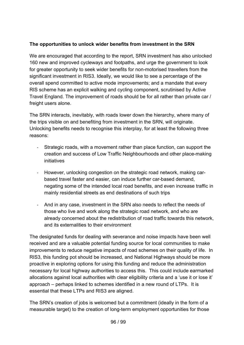#### **The opportunities to unlock wider benefits from investment in the SRN**

We are encouraged that according to the report, SRN investment has also unlocked 160 new and improved cycleways and footpaths, and urge the government to look for greater opportunity to seek wider benefits for non-motorised travellers from the significant investment in RIS3. Ideally, we would like to see a percentage of the overall spend committed to active mode improvements; and a mandate that every RIS scheme has an explicit walking and cycling component, scrutinised by Active Travel England. The improvement of roads should be for all rather than private car / freight users alone.

The SRN interacts, inevitably, with roads lower down the hierarchy, where many of the trips visible on and benefiting from investment in the SRN, will originate. Unlocking benefits needs to recognise this interplay, for at least the following three reasons:

- Strategic roads, with a movement rather than place function, can support the creation and success of Low Traffic Neighbourhoods and other place-making initiatives
- However, unlocking congestion on the strategic road network, making carbased travel faster and easier, can induce further car-based demand, negating some of the intended local road benefits, and even increase traffic in mainly residential streets as end destinations of such trips
- And in any case, investment in the SRN also needs to reflect the needs of those who live and work along the strategic road network, and who are already concerned about the redistribution of road traffic towards this network, and its externalities to their environment

The designated funds for dealing with severance and noise impacts have been well received and are a valuable potential funding source for local communities to make improvements to reduce negative impacts of road schemes on their quality of life. In RIS3, this funding pot should be increased, and National Highways should be more proactive in exploring options for using this funding and reduce the administration necessary for local highway authorities to access this. This could include earmarked allocations against local authorities with clear eligibility criteria and a 'use it or lose it' approach – perhaps linked to schemes identified in a new round of LTPs. It is essential that these LTPs and RIS3 are aligned.

The SRN's creation of jobs is welcomed but a commitment (ideally in the form of a measurable target) to the creation of long-term employment opportunities for those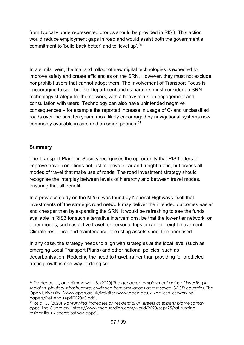from typically underrepresented groups should be provided in RIS3. This action would reduce employment gaps in road and would assist both the government's commitment to 'build back better' and to 'level up'.[26](#page-96-0)

In a similar vein, the trial and rollout of new digital technologies is expected to improve safety and create efficiencies on the SRN. However, they must not exclude nor prohibit users that cannot adopt them. The involvement of Transport Focus is encouraging to see, but the Department and its partners must consider an SRN technology strategy for the network, with a heavy focus on engagement and consultation with users. Technology can also have unintended negative consequences – for example the reported increase in usage of C- and unclassified roads over the past ten years, most likely encouraged by navigational systems now commonly available in cars and on smart phones.<sup>[27](#page-96-1)</sup>

#### **Summary**

The Transport Planning Society recognises the opportunity that RIS3 offers to improve travel conditions not just for private car and freight traffic, but across all modes of travel that make use of roads. The road investment strategy should recognise the interplay between levels of hierarchy and between travel modes, ensuring that all benefit.

In a previous study on the M25 it was found by National Highways itself that investments off the strategic road network may deliver the intended outcomes easier and cheaper than by expanding the SRN. It would be refreshing to see the funds available in RIS3 for such alternative interventions, be that the lower tier network, or other modes, such as active travel for personal trips or rail for freight movement. Climate resilience and maintenance of existing assets should be prioritised.

In any case, the strategy needs to align with strategies at the local level (such as emerging Local Transport Plans) and other national policies, such as decarbonisation. Reducing the need to travel, rather than providing for predicted traffic growth is one way of doing so.

<span id="page-96-0"></span><sup>26</sup> De Henau, J., and Himmelweit, S. (2020) *The gendered employment gains of investing in social vs. physical infrastructure: evidence from simulations across seven OECD countries.* The Open University. [www.open.ac.uk/ikd/sites/www.open.ac.uk.ikd/files/files/workingpapers/DeHenauApril2020v3.pdf].

<span id="page-96-1"></span><sup>27</sup> Reid, C. (2020) *'Rat-running' increases on residential UK streets as experts blame satnav apps*. The Guardian. [https://www.theguardian.com/world/2020/sep/25/rat-runningresidential-uk-streets-satnav-apps].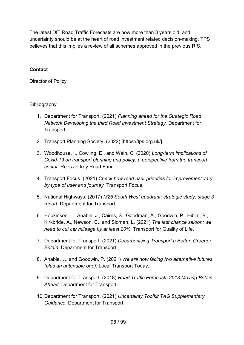The latest DfT Road Traffic Forecasts are now more than 3 years old, and uncertainty should be at the heart of road investment related decision-making. TPS believes that this implies a review of all schemes approved in the previous RIS.

#### **Contact**

Director of Policy

## Bibliography

- 1. Department for Transport. (2021) *Planning ahead for the Strategic Road Network Developing the third Road Investment Strategy.* Department for Transport.
- 2. Transport Planning Society. (2022) [https://tps.org.uk/].
- 3. Woodhouse, I., Cowling, E., and Wain, C. (2020) *Long-term implications of Covid-19 on transport planning and policy: a perspective from the transport sector.* Rees Jeffrey Road Fund.
- 4. Transport Focus. (2021) *Check how road user priorities for improvement vary by type of user and journey.* Transport Focus.
- 5. National Highways. (2017) *M25 South West quadrant: strategic study: stage 3 report.* Department for Transport.
- 6. Hopkinson, L., Anable, J., Cairns, S., Goodman, A., Goodwin, P., Hiblin, B., Kirkbride, A., Newson, C., and Sloman, L. (2021) *The last chance saloon: we need to cut car mileage by at least 20%.* Transport for Quality of Life.
- 7. Department for Transport. (2021) *Decarbonising Transport a Better, Greener Britain.* Department for Transport.
- 8. Anable, J., and Goodwin, P. (2021) *We are now facing two alternative futures (plus an untenable one).* Local Transport Today.
- 9. Department for Transport. (2018) *Road Traffic Forecasts 2018 Moving Britain Ahead.* Department for Transport.
- 10.Department for Transport. (2021) *Uncertainty Toolkit TAG Supplementary Guidance.* Department for Transport.